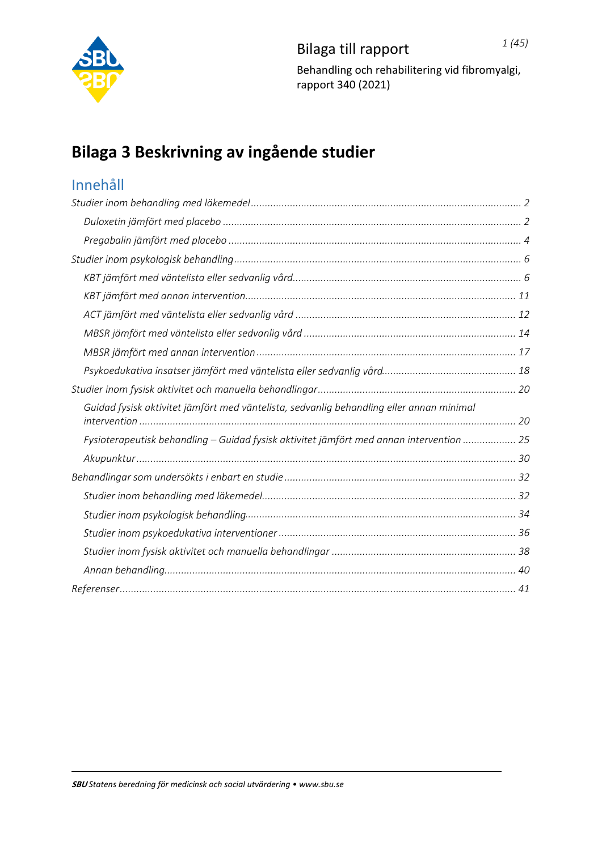

# **Bilaga 3 Beskrivning av ingående studier**

## Innehåll

| Guidad fysisk aktivitet jämfört med väntelista, sedvanlig behandling eller annan minimal |
|------------------------------------------------------------------------------------------|
| Fysioterapeutisk behandling - Guidad fysisk aktivitet jämfört med annan intervention  25 |
|                                                                                          |
|                                                                                          |
|                                                                                          |
|                                                                                          |
|                                                                                          |
|                                                                                          |
|                                                                                          |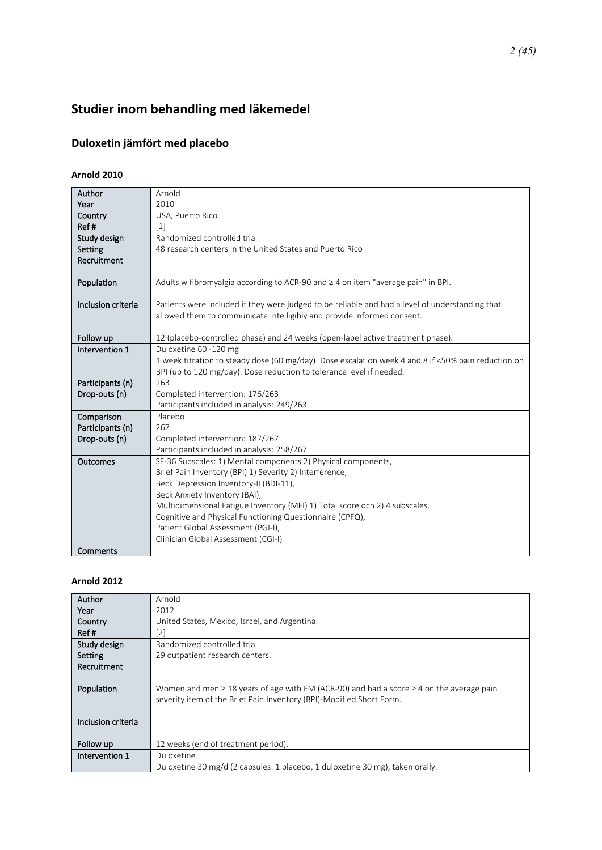# <span id="page-1-0"></span>**Studier inom behandling med läkemedel**

## <span id="page-1-1"></span>**Duloxetin jämfört med placebo**

### **Arnold 2010**

| Author                            | Arnold                                                                                              |
|-----------------------------------|-----------------------------------------------------------------------------------------------------|
| Year                              | 2010                                                                                                |
| Country                           | USA, Puerto Rico                                                                                    |
| Ref#                              | $\lceil 1 \rceil$                                                                                   |
| Study design                      | Randomized controlled trial                                                                         |
| Setting                           | 48 research centers in the United States and Puerto Rico                                            |
| Recruitment                       |                                                                                                     |
|                                   |                                                                                                     |
| Population                        | Adults w fibromyalgia according to ACR-90 and ≥ 4 on item "average pain" in BPI.                    |
|                                   |                                                                                                     |
| Inclusion criteria                | Patients were included if they were judged to be reliable and had a level of understanding that     |
|                                   | allowed them to communicate intelligibly and provide informed consent.                              |
|                                   |                                                                                                     |
| Follow up                         | 12 (placebo-controlled phase) and 24 weeks (open-label active treatment phase).                     |
| Intervention 1                    | Duloxetine 60 -120 mg                                                                               |
|                                   | 1 week titration to steady dose (60 mg/day). Dose escalation week 4 and 8 if <50% pain reduction on |
|                                   | BPI (up to 120 mg/day). Dose reduction to tolerance level if needed.                                |
| Participants (n)                  | 263<br>Completed intervention: 176/263                                                              |
| Drop-outs (n)                     |                                                                                                     |
|                                   | Participants included in analysis: 249/263<br>Placebo                                               |
| Comparison                        | 267                                                                                                 |
| Participants (n)<br>Drop-outs (n) | Completed intervention: 187/267                                                                     |
|                                   | Participants included in analysis: 258/267                                                          |
| Outcomes                          | SF-36 Subscales: 1) Mental components 2) Physical components,                                       |
|                                   | Brief Pain Inventory (BPI) 1) Severity 2) Interference,                                             |
|                                   | Beck Depression Inventory-II (BDI-11),                                                              |
|                                   | Beck Anxiety Inventory (BAI),                                                                       |
|                                   | Multidimensional Fatigue Inventory (MFI) 1) Total score och 2) 4 subscales,                         |
|                                   | Cognitive and Physical Functioning Questionnaire (CPFQ),                                            |
|                                   | Patient Global Assessment (PGI-I),                                                                  |
|                                   | Clinician Global Assessment (CGI-I)                                                                 |
| Comments                          |                                                                                                     |

#### **Arnold 2012**

| Arnold                                                                                             |
|----------------------------------------------------------------------------------------------------|
| 2012                                                                                               |
| United States, Mexico, Israel, and Argentina.                                                      |
| [2]                                                                                                |
| Randomized controlled trial                                                                        |
| 29 outpatient research centers.                                                                    |
|                                                                                                    |
|                                                                                                    |
| Women and men $\geq 18$ years of age with FM (ACR-90) and had a score $\geq 4$ on the average pain |
| severity item of the Brief Pain Inventory (BPI)-Modified Short Form.                               |
|                                                                                                    |
|                                                                                                    |
|                                                                                                    |
| 12 weeks (end of treatment period).                                                                |
| Duloxetine                                                                                         |
| Duloxetine 30 mg/d (2 capsules: 1 placebo, 1 duloxetine 30 mg), taken orally.                      |
|                                                                                                    |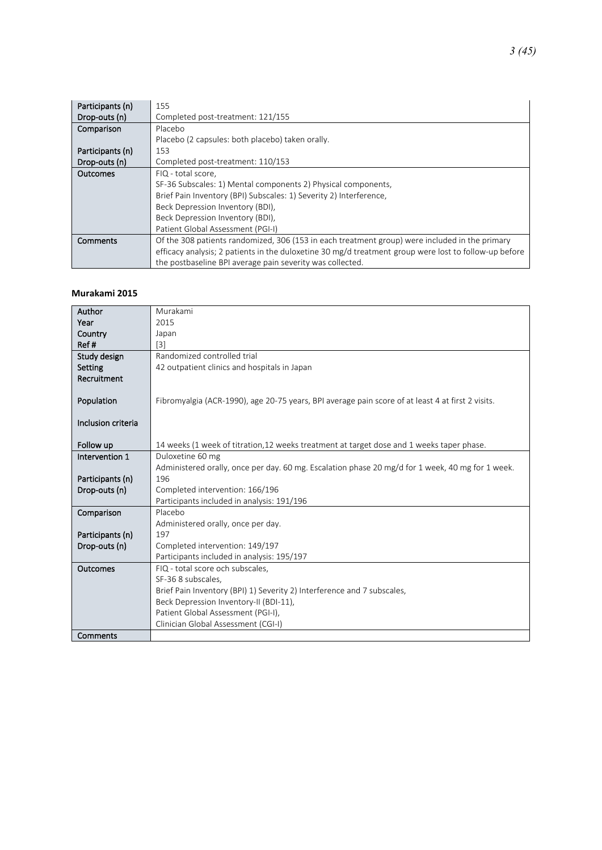| Participants (n) | 155                                                                                                   |
|------------------|-------------------------------------------------------------------------------------------------------|
| Drop-outs (n)    | Completed post-treatment: 121/155                                                                     |
| Comparison       | Placebo                                                                                               |
|                  | Placebo (2 capsules: both placebo) taken orally.                                                      |
| Participants (n) | 153                                                                                                   |
| Drop-outs (n)    | Completed post-treatment: 110/153                                                                     |
| Outcomes         | FIQ - total score,                                                                                    |
|                  | SF-36 Subscales: 1) Mental components 2) Physical components,                                         |
|                  | Brief Pain Inventory (BPI) Subscales: 1) Severity 2) Interference,                                    |
|                  | Beck Depression Inventory (BDI),                                                                      |
|                  | Beck Depression Inventory (BDI),                                                                      |
|                  | Patient Global Assessment (PGI-I)                                                                     |
| Comments         | Of the 308 patients randomized, 306 (153 in each treatment group) were included in the primary        |
|                  | efficacy analysis; 2 patients in the duloxetine 30 mg/d treatment group were lost to follow-up before |
|                  | the postbaseline BPI average pain severity was collected.                                             |

#### **Murakami 2015**

| Author             | Murakami                                                                                          |
|--------------------|---------------------------------------------------------------------------------------------------|
| Year               | 2015                                                                                              |
| Country            | Japan                                                                                             |
| Ref#               | $\lceil 3 \rceil$                                                                                 |
| Study design       | Randomized controlled trial                                                                       |
| Setting            | 42 outpatient clinics and hospitals in Japan                                                      |
| Recruitment        |                                                                                                   |
|                    |                                                                                                   |
| Population         | Fibromyalgia (ACR-1990), age 20-75 years, BPI average pain score of at least 4 at first 2 visits. |
|                    |                                                                                                   |
| Inclusion criteria |                                                                                                   |
|                    |                                                                                                   |
| Follow up          | 14 weeks (1 week of titration, 12 weeks treatment at target dose and 1 weeks taper phase.         |
| Intervention 1     | Duloxetine 60 mg                                                                                  |
|                    | Administered orally, once per day. 60 mg. Escalation phase 20 mg/d for 1 week, 40 mg for 1 week.  |
| Participants (n)   | 196                                                                                               |
| Drop-outs (n)      | Completed intervention: 166/196                                                                   |
|                    | Participants included in analysis: 191/196                                                        |
| Comparison         | Placebo                                                                                           |
|                    | Administered orally, once per day.                                                                |
| Participants (n)   | 197                                                                                               |
| Drop-outs (n)      | Completed intervention: 149/197                                                                   |
|                    | Participants included in analysis: 195/197                                                        |
| Outcomes           | FIQ - total score och subscales,                                                                  |
|                    | SF-36 8 subscales,                                                                                |
|                    | Brief Pain Inventory (BPI) 1) Severity 2) Interference and 7 subscales,                           |
|                    | Beck Depression Inventory-II (BDI-11),                                                            |
|                    | Patient Global Assessment (PGI-I),                                                                |
|                    | Clinician Global Assessment (CGI-I)                                                               |
| Comments           |                                                                                                   |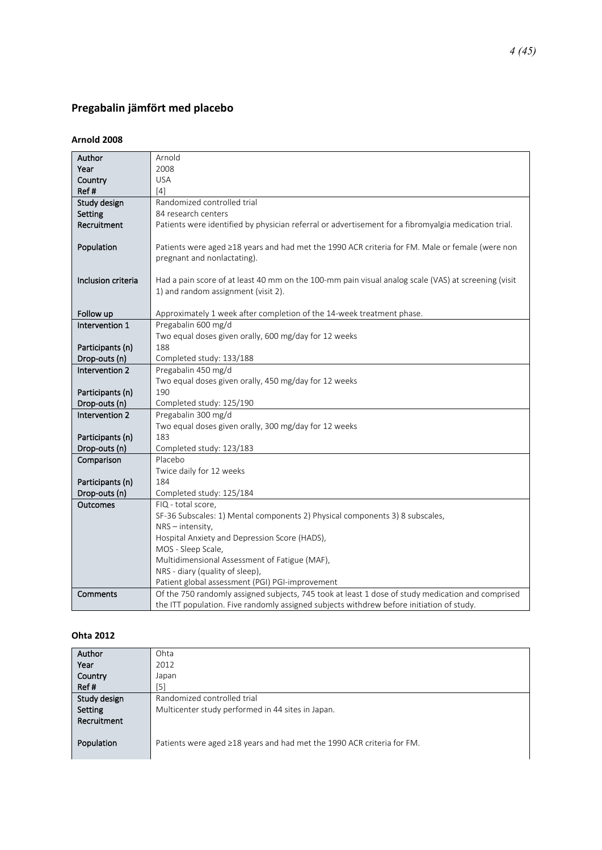### <span id="page-3-0"></span>**Pregabalin jämfört med placebo**

#### **Arnold 2008**

| Author             | Arnold                                                                                               |
|--------------------|------------------------------------------------------------------------------------------------------|
| Year               | 2008                                                                                                 |
| Country            | <b>USA</b>                                                                                           |
| Ref#               | $[4]$                                                                                                |
| Study design       | Randomized controlled trial                                                                          |
| Setting            | 84 research centers                                                                                  |
| Recruitment        | Patients were identified by physician referral or advertisement for a fibromyalgia medication trial. |
|                    |                                                                                                      |
| Population         | Patients were aged ≥18 years and had met the 1990 ACR criteria for FM. Male or female (were non      |
|                    | pregnant and nonlactating).                                                                          |
|                    |                                                                                                      |
| Inclusion criteria | Had a pain score of at least 40 mm on the 100-mm pain visual analog scale (VAS) at screening (visit  |
|                    | 1) and random assignment (visit 2).                                                                  |
|                    |                                                                                                      |
| Follow up          | Approximately 1 week after completion of the 14-week treatment phase.                                |
| Intervention 1     | Pregabalin 600 mg/d                                                                                  |
|                    | Two equal doses given orally, 600 mg/day for 12 weeks                                                |
| Participants (n)   | 188                                                                                                  |
| Drop-outs (n)      | Completed study: 133/188                                                                             |
| Intervention 2     | Pregabalin 450 mg/d                                                                                  |
|                    | Two equal doses given orally, 450 mg/day for 12 weeks                                                |
| Participants (n)   | 190                                                                                                  |
| Drop-outs (n)      | Completed study: 125/190                                                                             |
| Intervention 2     | Pregabalin 300 mg/d                                                                                  |
|                    | Two equal doses given orally, 300 mg/day for 12 weeks                                                |
| Participants (n)   | 183                                                                                                  |
| Drop-outs (n)      | Completed study: 123/183                                                                             |
| Comparison         | Placebo                                                                                              |
|                    | Twice daily for 12 weeks                                                                             |
| Participants (n)   | 184                                                                                                  |
| Drop-outs (n)      | Completed study: 125/184                                                                             |
| Outcomes           | FIQ - total score,                                                                                   |
|                    | SF-36 Subscales: 1) Mental components 2) Physical components 3) 8 subscales,                         |
|                    | $NRS - intensity$ ,                                                                                  |
|                    | Hospital Anxiety and Depression Score (HADS),                                                        |
|                    | MOS - Sleep Scale,                                                                                   |
|                    | Multidimensional Assessment of Fatigue (MAF),                                                        |
|                    | NRS - diary (quality of sleep),                                                                      |
|                    | Patient global assessment (PGI) PGI-improvement                                                      |
| Comments           | Of the 750 randomly assigned subjects, 745 took at least 1 dose of study medication and comprised    |
|                    | the ITT population. Five randomly assigned subjects withdrew before initiation of study.             |

#### **Ohta 2012**

| Author       | Ohta                                                                         |
|--------------|------------------------------------------------------------------------------|
| Year         | 2012                                                                         |
| Country      | Japan                                                                        |
| Ref#         | $[5]$                                                                        |
| Study design | Randomized controlled trial                                                  |
| Setting      | Multicenter study performed in 44 sites in Japan.                            |
| Recruitment  |                                                                              |
|              |                                                                              |
| Population   | Patients were aged $\geq$ 18 years and had met the 1990 ACR criteria for FM. |
|              |                                                                              |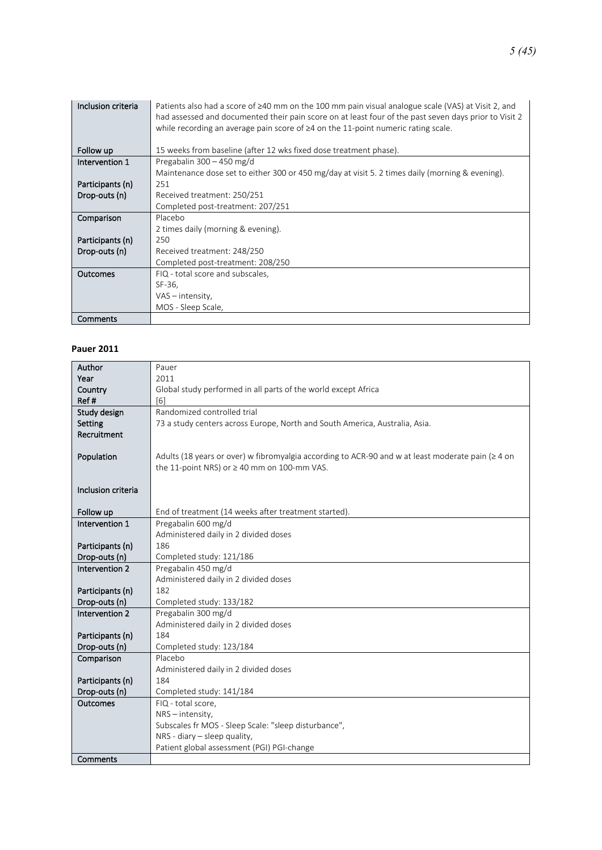| Inclusion criteria | Patients also had a score of $\geq 40$ mm on the 100 mm pain visual analogue scale (VAS) at Visit 2, and<br>had assessed and documented their pain score on at least four of the past seven days prior to Visit 2<br>while recording an average pain score of $\geq 4$ on the 11-point numeric rating scale. |
|--------------------|--------------------------------------------------------------------------------------------------------------------------------------------------------------------------------------------------------------------------------------------------------------------------------------------------------------|
| Follow up          | 15 weeks from baseline (after 12 wks fixed dose treatment phase).                                                                                                                                                                                                                                            |
| Intervention 1     | Pregabalin 300 - 450 mg/d                                                                                                                                                                                                                                                                                    |
|                    | Maintenance dose set to either 300 or 450 mg/day at visit 5. 2 times daily (morning & evening).                                                                                                                                                                                                              |
| Participants (n)   | 251                                                                                                                                                                                                                                                                                                          |
| Drop-outs (n)      | Received treatment: 250/251                                                                                                                                                                                                                                                                                  |
|                    | Completed post-treatment: 207/251                                                                                                                                                                                                                                                                            |
| Comparison         | Placebo                                                                                                                                                                                                                                                                                                      |
|                    | 2 times daily (morning & evening).                                                                                                                                                                                                                                                                           |
| Participants (n)   | 250                                                                                                                                                                                                                                                                                                          |
| Drop-outs (n)      | Received treatment: 248/250                                                                                                                                                                                                                                                                                  |
|                    | Completed post-treatment: 208/250                                                                                                                                                                                                                                                                            |
| <b>Outcomes</b>    | FIQ - total score and subscales,                                                                                                                                                                                                                                                                             |
|                    | SF-36,                                                                                                                                                                                                                                                                                                       |
|                    | $VAS - intensity$ ,                                                                                                                                                                                                                                                                                          |
|                    | MOS - Sleep Scale,                                                                                                                                                                                                                                                                                           |
| Comments           |                                                                                                                                                                                                                                                                                                              |

#### **Pauer 2011**

| Author             | Pauer                                                                                                   |
|--------------------|---------------------------------------------------------------------------------------------------------|
| Year               | 2011                                                                                                    |
| Country            | Global study performed in all parts of the world except Africa                                          |
| Ref#               | [6]                                                                                                     |
| Study design       | Randomized controlled trial                                                                             |
| <b>Setting</b>     | 73 a study centers across Europe, North and South America, Australia, Asia.                             |
| Recruitment        |                                                                                                         |
|                    |                                                                                                         |
| Population         | Adults (18 years or over) w fibromyalgia according to ACR-90 and w at least moderate pain ( $\geq 4$ on |
|                    | the 11-point NRS) or $\geq$ 40 mm on 100-mm VAS.                                                        |
|                    |                                                                                                         |
| Inclusion criteria |                                                                                                         |
|                    |                                                                                                         |
| Follow up          | End of treatment (14 weeks after treatment started).                                                    |
| Intervention 1     | Pregabalin 600 mg/d                                                                                     |
|                    | Administered daily in 2 divided doses                                                                   |
| Participants (n)   | 186                                                                                                     |
| Drop-outs (n)      | Completed study: 121/186                                                                                |
| Intervention 2     | Pregabalin 450 mg/d                                                                                     |
|                    | Administered daily in 2 divided doses                                                                   |
| Participants (n)   | 182                                                                                                     |
| Drop-outs (n)      | Completed study: 133/182                                                                                |
| Intervention 2     | Pregabalin 300 mg/d                                                                                     |
|                    | Administered daily in 2 divided doses                                                                   |
| Participants (n)   | 184                                                                                                     |
| Drop-outs (n)      | Completed study: 123/184                                                                                |
| Comparison         | Placebo                                                                                                 |
|                    | Administered daily in 2 divided doses                                                                   |
| Participants (n)   | 184                                                                                                     |
| Drop-outs (n)      | Completed study: 141/184                                                                                |
| Outcomes           | FIQ - total score,                                                                                      |
|                    | $NRS - intensity$ ,                                                                                     |
|                    | Subscales fr MOS - Sleep Scale: "sleep disturbance",                                                    |
|                    | NRS - diary $-$ sleep quality,<br>Patient global assessment (PGI) PGI-change                            |
| Comments           |                                                                                                         |
|                    |                                                                                                         |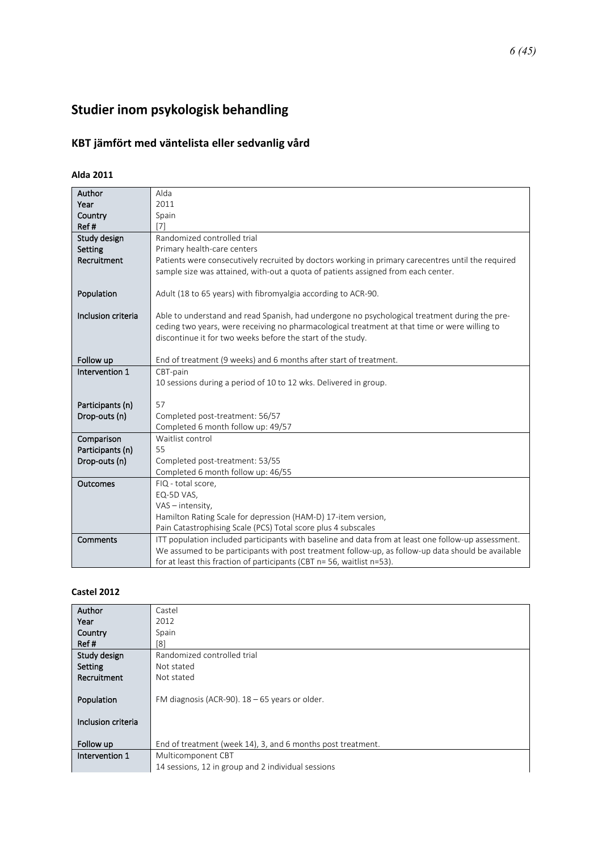# <span id="page-5-0"></span>Studier inom psykologisk behandling

## <span id="page-5-1"></span>**KBT jämfört med väntelista eller sedvanlig vård**

### **Alda 2011**

| Author             | Alda                                                                                                |
|--------------------|-----------------------------------------------------------------------------------------------------|
| Year               | 2011                                                                                                |
| Country            | Spain                                                                                               |
| Ref#               | [7]                                                                                                 |
| Study design       | Randomized controlled trial                                                                         |
| Setting            | Primary health-care centers                                                                         |
| Recruitment        | Patients were consecutively recruited by doctors working in primary carecentres until the required  |
|                    | sample size was attained, with-out a quota of patients assigned from each center.                   |
|                    |                                                                                                     |
| Population         | Adult (18 to 65 years) with fibromyalgia according to ACR-90.                                       |
|                    |                                                                                                     |
| Inclusion criteria | Able to understand and read Spanish, had undergone no psychological treatment during the pre-       |
|                    | ceding two years, were receiving no pharmacological treatment at that time or were willing to       |
|                    | discontinue it for two weeks before the start of the study.                                         |
|                    |                                                                                                     |
| Follow up          | End of treatment (9 weeks) and 6 months after start of treatment.                                   |
| Intervention 1     | CBT-pain                                                                                            |
|                    | 10 sessions during a period of 10 to 12 wks. Delivered in group.                                    |
| Participants (n)   | 57                                                                                                  |
| Drop-outs (n)      | Completed post-treatment: 56/57                                                                     |
|                    | Completed 6 month follow up: 49/57                                                                  |
| Comparison         | Waitlist control                                                                                    |
| Participants (n)   | 55                                                                                                  |
| Drop-outs (n)      | Completed post-treatment: 53/55                                                                     |
|                    | Completed 6 month follow up: 46/55                                                                  |
| Outcomes           | FIQ - total score,                                                                                  |
|                    | EQ-5D VAS,                                                                                          |
|                    | VAS - intensity,                                                                                    |
|                    | Hamilton Rating Scale for depression (HAM-D) 17-item version,                                       |
|                    | Pain Catastrophising Scale (PCS) Total score plus 4 subscales                                       |
| Comments           | ITT population included participants with baseline and data from at least one follow-up assessment. |
|                    | We assumed to be participants with post treatment follow-up, as follow-up data should be available  |
|                    | for at least this fraction of participants (CBT n= 56, waitlist n=53).                              |

#### **Castel 2012**

| Author             | Castel                                                      |
|--------------------|-------------------------------------------------------------|
| Year               | 2012                                                        |
| Country            | Spain                                                       |
| Ref#               | [8]                                                         |
| Study design       | Randomized controlled trial                                 |
| Setting            | Not stated                                                  |
| Recruitment        | Not stated                                                  |
|                    |                                                             |
| Population         | FM diagnosis (ACR-90). $18 - 65$ years or older.            |
|                    |                                                             |
| Inclusion criteria |                                                             |
|                    |                                                             |
| Follow up          | End of treatment (week 14), 3, and 6 months post treatment. |
| Intervention 1     | Multicomponent CBT                                          |
|                    | 14 sessions, 12 in group and 2 individual sessions          |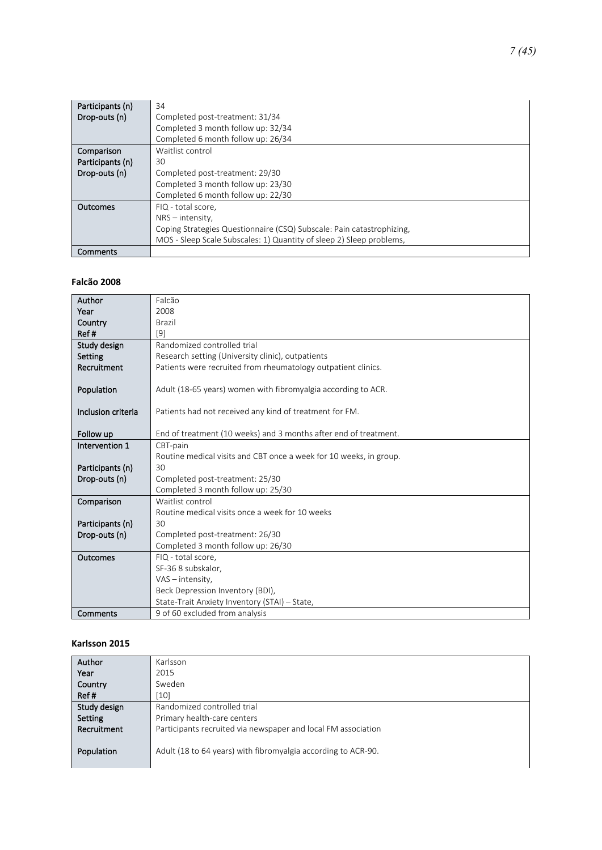| Participants (n) | 34                                                                    |
|------------------|-----------------------------------------------------------------------|
| Drop-outs (n)    | Completed post-treatment: 31/34                                       |
|                  | Completed 3 month follow up: 32/34                                    |
|                  | Completed 6 month follow up: 26/34                                    |
| Comparison       | Waitlist control                                                      |
| Participants (n) | 30                                                                    |
| Drop-outs (n)    | Completed post-treatment: 29/30                                       |
|                  | Completed 3 month follow up: 23/30                                    |
|                  | Completed 6 month follow up: 22/30                                    |
| Outcomes         | FIQ - total score.                                                    |
|                  | $NRS -$ intensity,                                                    |
|                  | Coping Strategies Questionnaire (CSQ) Subscale: Pain catastrophizing, |
|                  | MOS - Sleep Scale Subscales: 1) Quantity of sleep 2) Sleep problems,  |
| Comments         |                                                                       |

#### **Falcão 2008**

| Author             | Falcão                                                             |
|--------------------|--------------------------------------------------------------------|
| Year               | 2008                                                               |
| Country            | Brazil                                                             |
| Ref#               | $[9]$                                                              |
| Study design       | Randomized controlled trial                                        |
| Setting            | Research setting (University clinic), outpatients                  |
| Recruitment        | Patients were recruited from rheumatology outpatient clinics.      |
|                    |                                                                    |
| Population         | Adult (18-65 years) women with fibromyalgia according to ACR.      |
|                    |                                                                    |
| Inclusion criteria | Patients had not received any kind of treatment for FM.            |
|                    |                                                                    |
| Follow up          | End of treatment (10 weeks) and 3 months after end of treatment.   |
| Intervention 1     | CBT-pain                                                           |
|                    | Routine medical visits and CBT once a week for 10 weeks, in group. |
| Participants (n)   | 30                                                                 |
| Drop-outs (n)      | Completed post-treatment: 25/30                                    |
|                    | Completed 3 month follow up: 25/30                                 |
| Comparison         | Waitlist control                                                   |
|                    | Routine medical visits once a week for 10 weeks                    |
| Participants (n)   | 30                                                                 |
| Drop-outs (n)      | Completed post-treatment: 26/30                                    |
|                    | Completed 3 month follow up: 26/30                                 |
| Outcomes           | FIQ - total score,                                                 |
|                    | SF-36 8 subskalor,                                                 |
|                    | VAS - intensity,                                                   |
|                    | Beck Depression Inventory (BDI),                                   |
|                    | State-Trait Anxiety Inventory (STAI) - State,                      |
| Comments           | 9 of 60 excluded from analysis                                     |

#### **Karlsson 2015**

| Author       | Karlsson                                                      |
|--------------|---------------------------------------------------------------|
| Year         | 2015                                                          |
| Country      | Sweden                                                        |
| Ref#         | [10]                                                          |
| Study design | Randomized controlled trial                                   |
| Setting      | Primary health-care centers                                   |
| Recruitment  | Participants recruited via newspaper and local FM association |
| Population   | Adult (18 to 64 years) with fibromyalgia according to ACR-90. |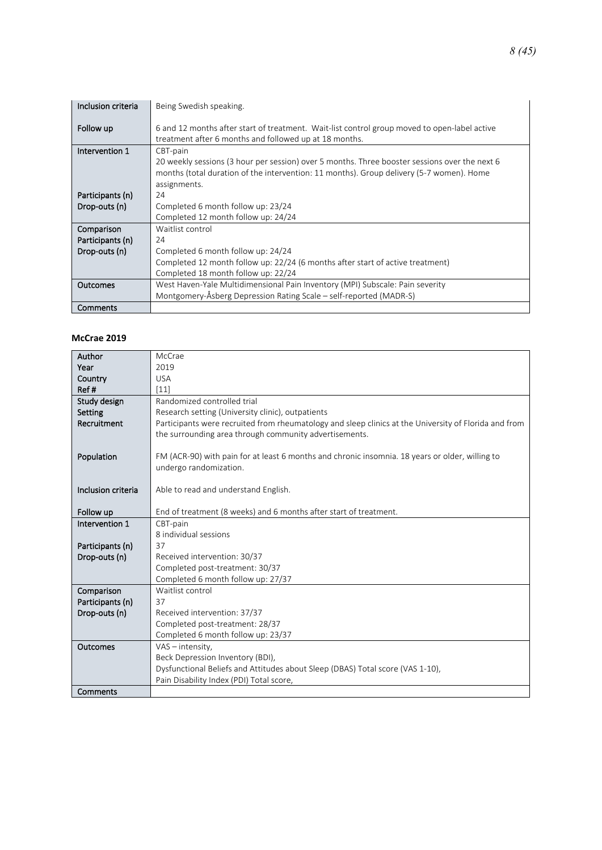| Inclusion criteria | Being Swedish speaking.                                                                                                                                |
|--------------------|--------------------------------------------------------------------------------------------------------------------------------------------------------|
| Follow up          | 6 and 12 months after start of treatment. Wait-list control group moved to open-label active<br>treatment after 6 months and followed up at 18 months. |
| Intervention 1     | CBT-pain                                                                                                                                               |
|                    | 20 weekly sessions (3 hour per session) over 5 months. Three booster sessions over the next 6                                                          |
|                    | months (total duration of the intervention: 11 months). Group delivery (5-7 women). Home                                                               |
|                    | assignments.                                                                                                                                           |
| Participants (n)   | 24                                                                                                                                                     |
| Drop-outs (n)      | Completed 6 month follow up: 23/24                                                                                                                     |
|                    | Completed 12 month follow up: 24/24                                                                                                                    |
| Comparison         | Waitlist control                                                                                                                                       |
| Participants (n)   | 24                                                                                                                                                     |
| Drop-outs (n)      | Completed 6 month follow up: 24/24                                                                                                                     |
|                    | Completed 12 month follow up: 22/24 (6 months after start of active treatment)                                                                         |
|                    | Completed 18 month follow up: 22/24                                                                                                                    |
| <b>Outcomes</b>    | West Haven-Yale Multidimensional Pain Inventory (MPI) Subscale: Pain severity                                                                          |
|                    | Montgomery-Åsberg Depression Rating Scale – self-reported (MADR-S)                                                                                     |
| Comments           |                                                                                                                                                        |

#### **McCrae 2019**

| Author             | McCrae                                                                                                |
|--------------------|-------------------------------------------------------------------------------------------------------|
| Year               | 2019                                                                                                  |
| Country            | <b>USA</b>                                                                                            |
| Ref#               | [11]                                                                                                  |
| Study design       | Randomized controlled trial                                                                           |
| Setting            | Research setting (University clinic), outpatients                                                     |
| Recruitment        | Participants were recruited from rheumatology and sleep clinics at the University of Florida and from |
|                    | the surrounding area through community advertisements.                                                |
|                    |                                                                                                       |
| Population         | FM (ACR-90) with pain for at least 6 months and chronic insomnia. 18 years or older, willing to       |
|                    | undergo randomization.                                                                                |
|                    |                                                                                                       |
| Inclusion criteria | Able to read and understand English.                                                                  |
|                    |                                                                                                       |
| Follow up          | End of treatment (8 weeks) and 6 months after start of treatment.                                     |
| Intervention 1     | CBT-pain                                                                                              |
|                    | 8 individual sessions<br>37                                                                           |
| Participants (n)   |                                                                                                       |
| Drop-outs (n)      | Received intervention: 30/37                                                                          |
|                    | Completed post-treatment: 30/37<br>Completed 6 month follow up: 27/37                                 |
| Comparison         | Waitlist control                                                                                      |
| Participants (n)   | 37                                                                                                    |
| Drop-outs (n)      | Received intervention: 37/37                                                                          |
|                    | Completed post-treatment: 28/37                                                                       |
|                    | Completed 6 month follow up: 23/37                                                                    |
| <b>Outcomes</b>    | $VAS - intensity$ ,                                                                                   |
|                    | Beck Depression Inventory (BDI),                                                                      |
|                    | Dysfunctional Beliefs and Attitudes about Sleep (DBAS) Total score (VAS 1-10),                        |
|                    | Pain Disability Index (PDI) Total score,                                                              |
| Comments           |                                                                                                       |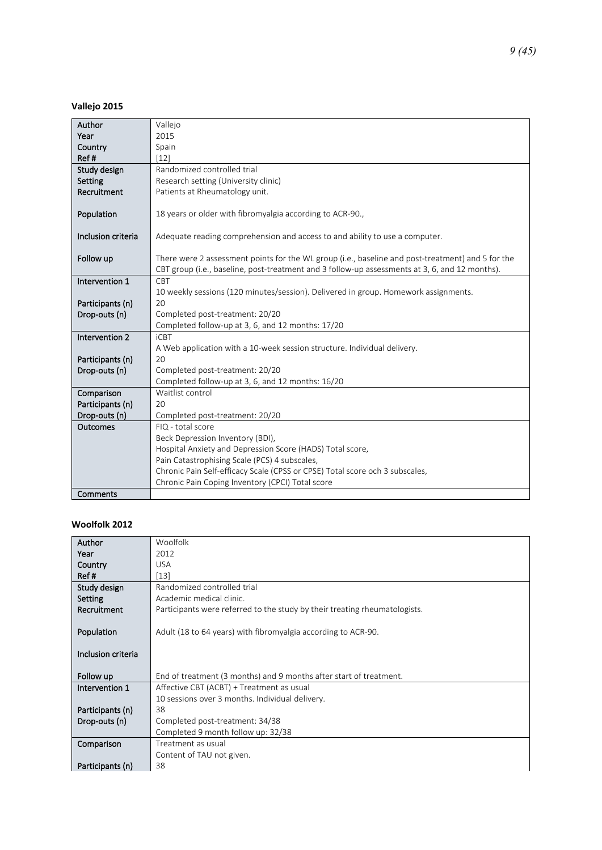**Vallejo 2015**

| Author             | Vallejo                                                                                                                                                                                             |
|--------------------|-----------------------------------------------------------------------------------------------------------------------------------------------------------------------------------------------------|
| Year               | 2015                                                                                                                                                                                                |
| Country            | Spain                                                                                                                                                                                               |
| Ref#               | $[12]$                                                                                                                                                                                              |
| Study design       | Randomized controlled trial                                                                                                                                                                         |
| Setting            | Research setting (University clinic)                                                                                                                                                                |
| Recruitment        | Patients at Rheumatology unit.                                                                                                                                                                      |
| Population         | 18 years or older with fibromyalgia according to ACR-90.,                                                                                                                                           |
| Inclusion criteria | Adequate reading comprehension and access to and ability to use a computer.                                                                                                                         |
| Follow up          | There were 2 assessment points for the WL group (i.e., baseline and post-treatment) and 5 for the<br>CBT group (i.e., baseline, post-treatment and 3 follow-up assessments at 3, 6, and 12 months). |
| Intervention 1     | CBT                                                                                                                                                                                                 |
|                    | 10 weekly sessions (120 minutes/session). Delivered in group. Homework assignments.                                                                                                                 |
| Participants (n)   | 20                                                                                                                                                                                                  |
| Drop-outs (n)      | Completed post-treatment: 20/20                                                                                                                                                                     |
|                    | Completed follow-up at 3, 6, and 12 months: 17/20                                                                                                                                                   |
| Intervention 2     | <b>iCBT</b>                                                                                                                                                                                         |
|                    | A Web application with a 10-week session structure. Individual delivery.                                                                                                                            |
| Participants (n)   | 20                                                                                                                                                                                                  |
| Drop-outs (n)      | Completed post-treatment: 20/20                                                                                                                                                                     |
|                    | Completed follow-up at 3, 6, and 12 months: 16/20                                                                                                                                                   |
| Comparison         | Waitlist control                                                                                                                                                                                    |
| Participants (n)   | 20                                                                                                                                                                                                  |
| Drop-outs (n)      | Completed post-treatment: 20/20                                                                                                                                                                     |
| Outcomes           | FIQ - total score                                                                                                                                                                                   |
|                    | Beck Depression Inventory (BDI),                                                                                                                                                                    |
|                    | Hospital Anxiety and Depression Score (HADS) Total score,                                                                                                                                           |
|                    | Pain Catastrophising Scale (PCS) 4 subscales,                                                                                                                                                       |
|                    | Chronic Pain Self-efficacy Scale (CPSS or CPSE) Total score och 3 subscales,                                                                                                                        |
|                    | Chronic Pain Coping Inventory (CPCI) Total score                                                                                                                                                    |
| Comments           |                                                                                                                                                                                                     |

#### **Woolfolk 2012**

| Author             | Woolfolk                                                                   |
|--------------------|----------------------------------------------------------------------------|
| Year               | 2012                                                                       |
| Country            | <b>USA</b>                                                                 |
| Ref#               | $[13]$                                                                     |
| Study design       | Randomized controlled trial                                                |
| Setting            | Academic medical clinic.                                                   |
| Recruitment        | Participants were referred to the study by their treating rheumatologists. |
|                    |                                                                            |
| Population         | Adult (18 to 64 years) with fibromyalgia according to ACR-90.              |
|                    |                                                                            |
| Inclusion criteria |                                                                            |
|                    |                                                                            |
| Follow up          | End of treatment (3 months) and 9 months after start of treatment.         |
| Intervention 1     | Affective CBT (ACBT) + Treatment as usual                                  |
|                    | 10 sessions over 3 months. Individual delivery.                            |
| Participants (n)   | 38                                                                         |
| Drop-outs (n)      | Completed post-treatment: 34/38                                            |
|                    | Completed 9 month follow up: 32/38                                         |
| Comparison         | Treatment as usual                                                         |
|                    | Content of TAU not given.                                                  |
| Participants (n)   | 38                                                                         |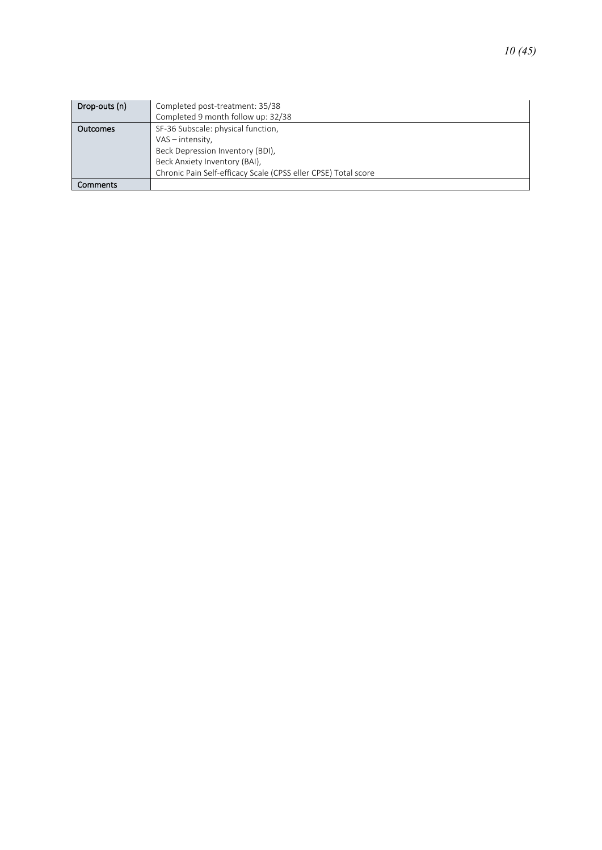| Drop-outs (n)   | Completed post-treatment: 35/38<br>Completed 9 month follow up: 32/38 |
|-----------------|-----------------------------------------------------------------------|
| <b>Outcomes</b> | SF-36 Subscale: physical function,                                    |
|                 | VAS - intensity,                                                      |
|                 | Beck Depression Inventory (BDI),                                      |
|                 | Beck Anxiety Inventory (BAI),                                         |
|                 | Chronic Pain Self-efficacy Scale (CPSS eller CPSE) Total score        |
| Comments        |                                                                       |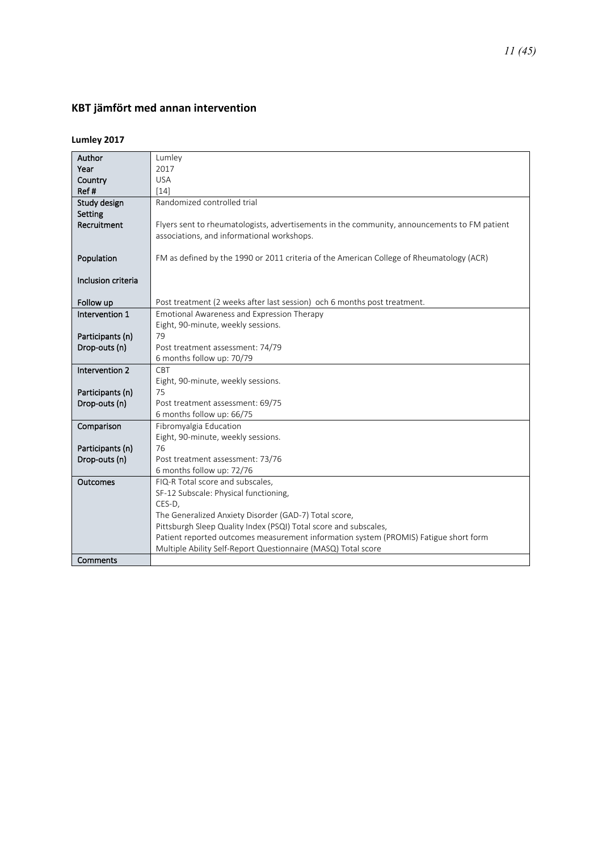### <span id="page-10-0"></span>**KBT jämfört med annan intervention**

### **Lumley 2017**

| Author                            | Lumley                                                                                                                                     |
|-----------------------------------|--------------------------------------------------------------------------------------------------------------------------------------------|
| Year                              | 2017                                                                                                                                       |
| Country                           | <b>USA</b>                                                                                                                                 |
| Ref#                              | $[14]$                                                                                                                                     |
| Study design                      | Randomized controlled trial                                                                                                                |
| Setting                           |                                                                                                                                            |
| Recruitment                       | Flyers sent to rheumatologists, advertisements in the community, announcements to FM patient<br>associations, and informational workshops. |
|                                   |                                                                                                                                            |
| Population                        | FM as defined by the 1990 or 2011 criteria of the American College of Rheumatology (ACR)                                                   |
| Inclusion criteria                |                                                                                                                                            |
|                                   |                                                                                                                                            |
| Follow up                         | Post treatment (2 weeks after last session) och 6 months post treatment.                                                                   |
| Intervention 1                    | Emotional Awareness and Expression Therapy                                                                                                 |
|                                   | Eight, 90-minute, weekly sessions.                                                                                                         |
| Participants (n)                  | 79                                                                                                                                         |
| Drop-outs (n)                     | Post treatment assessment: 74/79                                                                                                           |
|                                   | 6 months follow up: 70/79                                                                                                                  |
| Intervention 2                    | CBT                                                                                                                                        |
|                                   | Eight, 90-minute, weekly sessions.                                                                                                         |
| Participants (n)                  | 75                                                                                                                                         |
| Drop-outs (n)                     | Post treatment assessment: 69/75                                                                                                           |
|                                   | 6 months follow up: 66/75                                                                                                                  |
| Comparison                        | Fibromyalgia Education                                                                                                                     |
|                                   | Eight, 90-minute, weekly sessions.<br>76                                                                                                   |
| Participants (n)<br>Drop-outs (n) | Post treatment assessment: 73/76                                                                                                           |
|                                   | 6 months follow up: 72/76                                                                                                                  |
| Outcomes                          | FIQ-R Total score and subscales,                                                                                                           |
|                                   | SF-12 Subscale: Physical functioning,                                                                                                      |
|                                   | CES-D,                                                                                                                                     |
|                                   | The Generalized Anxiety Disorder (GAD-7) Total score,                                                                                      |
|                                   | Pittsburgh Sleep Quality Index (PSQI) Total score and subscales,                                                                           |
|                                   | Patient reported outcomes measurement information system (PROMIS) Fatigue short form                                                       |
|                                   | Multiple Ability Self-Report Questionnaire (MASQ) Total score                                                                              |
| Comments                          |                                                                                                                                            |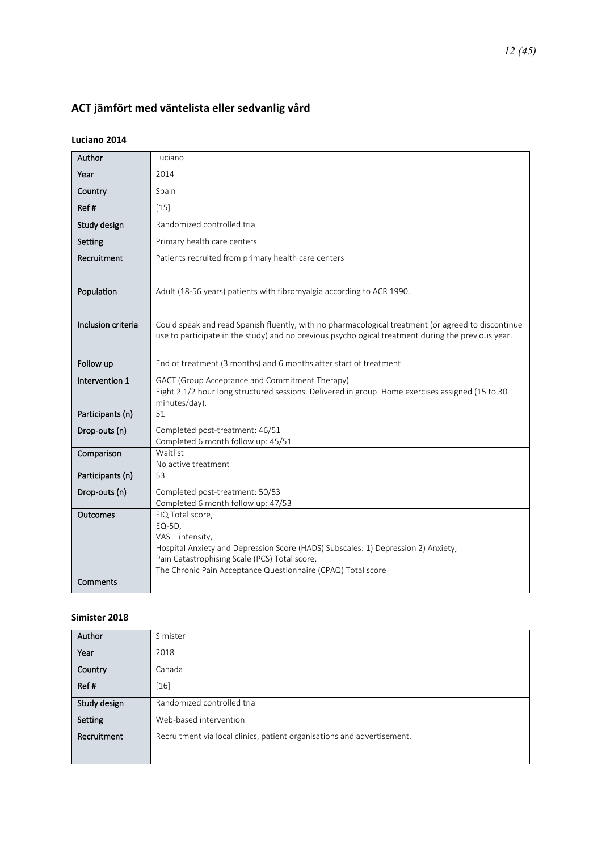## <span id="page-11-0"></span>**ACT jämfört med väntelista eller sedvanlig vård**

#### **Luciano 2014**

| Author             | Luciano                                                                                                                                            |
|--------------------|----------------------------------------------------------------------------------------------------------------------------------------------------|
| Year               | 2014                                                                                                                                               |
| Country            | Spain                                                                                                                                              |
| Ref#               | $[15]$                                                                                                                                             |
| Study design       | Randomized controlled trial                                                                                                                        |
| Setting            | Primary health care centers.                                                                                                                       |
| Recruitment        | Patients recruited from primary health care centers                                                                                                |
|                    |                                                                                                                                                    |
| Population         | Adult (18-56 years) patients with fibromyalgia according to ACR 1990.                                                                              |
|                    |                                                                                                                                                    |
| Inclusion criteria | Could speak and read Spanish fluently, with no pharmacological treatment (or agreed to discontinue                                                 |
|                    | use to participate in the study) and no previous psychological treatment during the previous year.                                                 |
| Follow up          | End of treatment (3 months) and 6 months after start of treatment                                                                                  |
|                    |                                                                                                                                                    |
| Intervention 1     | GACT (Group Acceptance and Commitment Therapy)<br>Eight 2 1/2 hour long structured sessions. Delivered in group. Home exercises assigned (15 to 30 |
|                    | minutes/day).                                                                                                                                      |
| Participants (n)   | 51                                                                                                                                                 |
| Drop-outs (n)      | Completed post-treatment: 46/51                                                                                                                    |
| Comparison         | Completed 6 month follow up: 45/51<br>Waitlist                                                                                                     |
|                    | No active treatment                                                                                                                                |
| Participants (n)   | 53                                                                                                                                                 |
| Drop-outs (n)      | Completed post-treatment: 50/53                                                                                                                    |
|                    | Completed 6 month follow up: 47/53                                                                                                                 |
| Outcomes           | FIQ Total score,                                                                                                                                   |
|                    | EQ-5D,<br>VAS - intensity,                                                                                                                         |
|                    | Hospital Anxiety and Depression Score (HADS) Subscales: 1) Depression 2) Anxiety,                                                                  |
|                    | Pain Catastrophising Scale (PCS) Total score,                                                                                                      |
|                    |                                                                                                                                                    |
| <b>Comments</b>    | The Chronic Pain Acceptance Questionnaire (CPAQ) Total score                                                                                       |

### **Simister 2018**

| Author       | Simister                                                                |
|--------------|-------------------------------------------------------------------------|
| Year         | 2018                                                                    |
| Country      | Canada                                                                  |
| Ref#         | $[16]$                                                                  |
| Study design | Randomized controlled trial                                             |
| Setting      | Web-based intervention                                                  |
| Recruitment  | Recruitment via local clinics, patient organisations and advertisement. |
|              |                                                                         |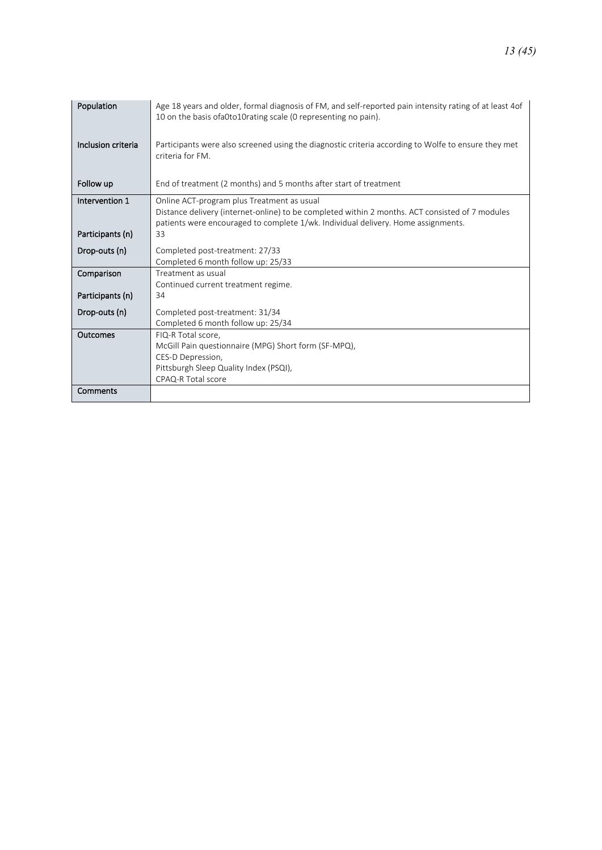| Population         | Age 18 years and older, formal diagnosis of FM, and self-reported pain intensity rating of at least 4 of<br>10 on the basis of a Oto 10 rating scale (0 representing no pain). |
|--------------------|--------------------------------------------------------------------------------------------------------------------------------------------------------------------------------|
| Inclusion criteria | Participants were also screened using the diagnostic criteria according to Wolfe to ensure they met<br>criteria for FM.                                                        |
| Follow up          | End of treatment (2 months) and 5 months after start of treatment                                                                                                              |
| Intervention 1     | Online ACT-program plus Treatment as usual<br>Distance delivery (internet-online) to be completed within 2 months. ACT consisted of 7 modules                                  |
|                    | patients were encouraged to complete 1/wk. Individual delivery. Home assignments.                                                                                              |
| Participants (n)   | 33                                                                                                                                                                             |
| Drop-outs (n)      | Completed post-treatment: 27/33                                                                                                                                                |
|                    | Completed 6 month follow up: 25/33                                                                                                                                             |
| Comparison         | Treatment as usual                                                                                                                                                             |
|                    | Continued current treatment regime.                                                                                                                                            |
| Participants (n)   | 34                                                                                                                                                                             |
| Drop-outs (n)      | Completed post-treatment: 31/34                                                                                                                                                |
|                    | Completed 6 month follow up: 25/34                                                                                                                                             |
| Outcomes           | FIQ-R Total score.                                                                                                                                                             |
|                    | McGill Pain questionnaire (MPG) Short form (SF-MPQ),                                                                                                                           |
|                    | CES-D Depression,                                                                                                                                                              |
|                    | Pittsburgh Sleep Quality Index (PSQI),                                                                                                                                         |
|                    | CPAQ-R Total score                                                                                                                                                             |
| Comments           |                                                                                                                                                                                |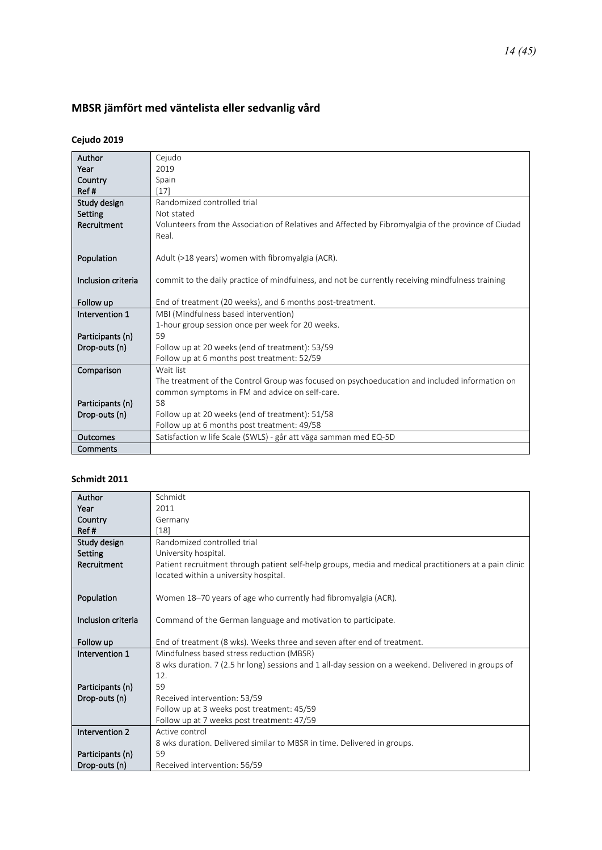# <span id="page-13-0"></span>**MBSR jämfört med väntelista eller sedvanlig vård**

### **Cejudo 2019**

| Author             | Cejudo                                                                                              |
|--------------------|-----------------------------------------------------------------------------------------------------|
| Year               | 2019                                                                                                |
| Country            | Spain                                                                                               |
| Ref#               | [17]                                                                                                |
| Study design       | Randomized controlled trial                                                                         |
| Setting            | Not stated                                                                                          |
| Recruitment        | Volunteers from the Association of Relatives and Affected by Fibromyalgia of the province of Ciudad |
|                    | Real.                                                                                               |
|                    |                                                                                                     |
| Population         | Adult (>18 years) women with fibromyalgia (ACR).                                                    |
|                    |                                                                                                     |
| Inclusion criteria | commit to the daily practice of mindfulness, and not be currently receiving mindfulness training    |
|                    |                                                                                                     |
| Follow up          | End of treatment (20 weeks), and 6 months post-treatment.                                           |
| Intervention 1     | MBI (Mindfulness based intervention)                                                                |
|                    | 1-hour group session once per week for 20 weeks.                                                    |
| Participants (n)   | 59                                                                                                  |
| Drop-outs (n)      | Follow up at 20 weeks (end of treatment): 53/59                                                     |
|                    | Follow up at 6 months post treatment: 52/59                                                         |
| Comparison         | Wait list                                                                                           |
|                    | The treatment of the Control Group was focused on psychoeducation and included information on       |
|                    | common symptoms in FM and advice on self-care.                                                      |
| Participants (n)   | 58                                                                                                  |
| Drop-outs (n)      | Follow up at 20 weeks (end of treatment): 51/58                                                     |
|                    | Follow up at 6 months post treatment: 49/58                                                         |
| Outcomes           | Satisfaction w life Scale (SWLS) - går att väga samman med EQ-5D                                    |
| Comments           |                                                                                                     |

#### **Schmidt 2011**

| Author             | Schmidt                                                                                                |
|--------------------|--------------------------------------------------------------------------------------------------------|
| Year               | 2011                                                                                                   |
| Country            | Germany                                                                                                |
| Ref#               | [18]                                                                                                   |
| Study design       | Randomized controlled trial                                                                            |
| Setting            | University hospital.                                                                                   |
| Recruitment        | Patient recruitment through patient self-help groups, media and medical practitioners at a pain clinic |
|                    | located within a university hospital.                                                                  |
|                    |                                                                                                        |
| Population         | Women 18–70 years of age who currently had fibromyalgia (ACR).                                         |
|                    |                                                                                                        |
| Inclusion criteria | Command of the German language and motivation to participate.                                          |
|                    |                                                                                                        |
| Follow up          | End of treatment (8 wks). Weeks three and seven after end of treatment.                                |
| Intervention 1     | Mindfulness based stress reduction (MBSR)                                                              |
|                    | 8 wks duration. 7 (2.5 hr long) sessions and 1 all-day session on a weekend. Delivered in groups of    |
|                    | 12.                                                                                                    |
| Participants (n)   | 59                                                                                                     |
| Drop-outs (n)      | Received intervention: 53/59                                                                           |
|                    | Follow up at 3 weeks post treatment: 45/59                                                             |
|                    | Follow up at 7 weeks post treatment: 47/59                                                             |
| Intervention 2     | Active control                                                                                         |
|                    | 8 wks duration. Delivered similar to MBSR in time. Delivered in groups.                                |
| Participants (n)   | 59                                                                                                     |
| Drop-outs (n)      | Received intervention: 56/59                                                                           |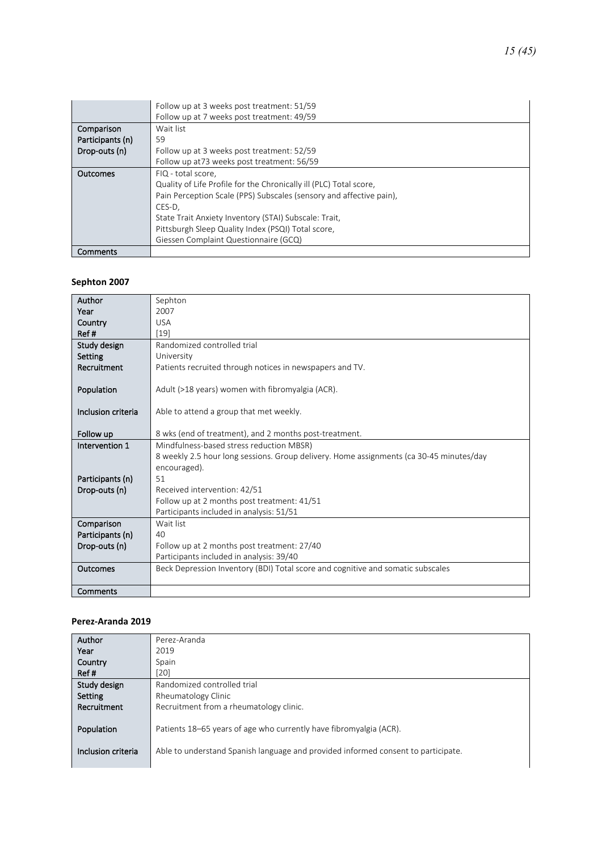|                  | Follow up at 3 weeks post treatment: 51/59                          |
|------------------|---------------------------------------------------------------------|
|                  | Follow up at 7 weeks post treatment: 49/59                          |
| Comparison       | Wait list                                                           |
| Participants (n) | 59                                                                  |
| Drop-outs (n)    | Follow up at 3 weeks post treatment: 52/59                          |
|                  | Follow up at 73 weeks post treatment: 56/59                         |
| <b>Outcomes</b>  | FIQ - total score.                                                  |
|                  | Quality of Life Profile for the Chronically ill (PLC) Total score,  |
|                  | Pain Perception Scale (PPS) Subscales (sensory and affective pain), |
|                  | CES-D.                                                              |
|                  | State Trait Anxiety Inventory (STAI) Subscale: Trait,               |
|                  | Pittsburgh Sleep Quality Index (PSQI) Total score,                  |
|                  | Giessen Complaint Questionnaire (GCQ)                               |
| Comments         |                                                                     |

#### **Sephton 2007**

| Author             | Sephton                                                                                 |
|--------------------|-----------------------------------------------------------------------------------------|
| Year               | 2007                                                                                    |
| Country            | <b>USA</b>                                                                              |
| Ref#               | $[19]$                                                                                  |
| Study design       | Randomized controlled trial                                                             |
| Setting            | University                                                                              |
| Recruitment        | Patients recruited through notices in newspapers and TV.                                |
|                    |                                                                                         |
| Population         | Adult (>18 years) women with fibromyalgia (ACR).                                        |
|                    |                                                                                         |
| Inclusion criteria | Able to attend a group that met weekly.                                                 |
|                    |                                                                                         |
| Follow up          | 8 wks (end of treatment), and 2 months post-treatment.                                  |
| Intervention 1     | Mindfulness-based stress reduction MBSR)                                                |
|                    | 8 weekly 2.5 hour long sessions. Group delivery. Home assignments (ca 30-45 minutes/day |
|                    | encouraged).                                                                            |
| Participants (n)   | 51                                                                                      |
| Drop-outs (n)      | Received intervention: 42/51                                                            |
|                    | Follow up at 2 months post treatment: 41/51                                             |
|                    | Participants included in analysis: 51/51                                                |
| Comparison         | Wait list                                                                               |
| Participants (n)   | 40                                                                                      |
| Drop-outs (n)      | Follow up at 2 months post treatment: 27/40                                             |
|                    | Participants included in analysis: 39/40                                                |
| Outcomes           | Beck Depression Inventory (BDI) Total score and cognitive and somatic subscales         |
|                    |                                                                                         |
| Comments           |                                                                                         |

#### **Perez-Aranda 2019**

| Author             | Perez-Aranda                                                                      |
|--------------------|-----------------------------------------------------------------------------------|
| Year               | 2019                                                                              |
| Country            | Spain                                                                             |
| Ref#               | 201                                                                               |
| Study design       | Randomized controlled trial                                                       |
| Setting            | Rheumatology Clinic                                                               |
| Recruitment        | Recruitment from a rheumatology clinic.                                           |
|                    |                                                                                   |
| Population         | Patients 18–65 years of age who currently have fibromyalgia (ACR).                |
|                    |                                                                                   |
| Inclusion criteria | Able to understand Spanish language and provided informed consent to participate. |
|                    |                                                                                   |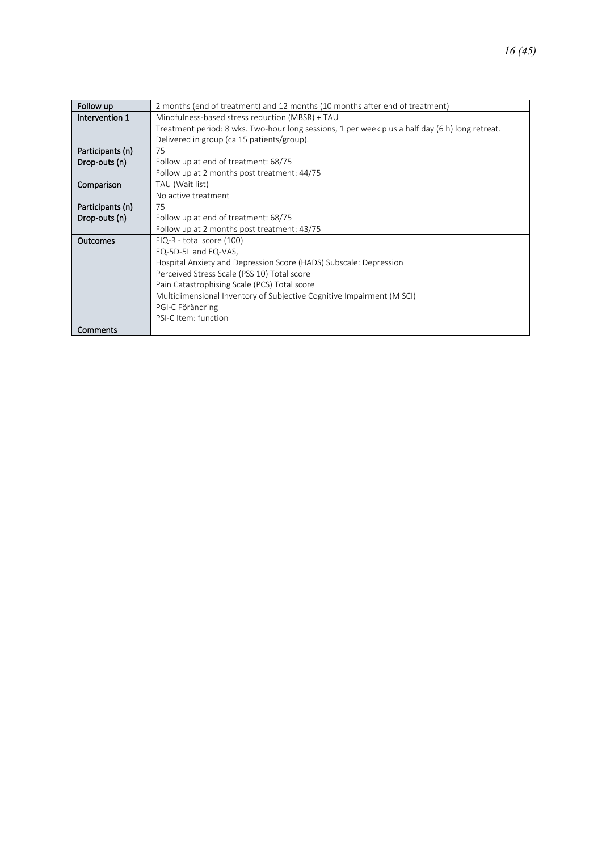| Follow up        | 2 months (end of treatment) and 12 months (10 months after end of treatment)                    |
|------------------|-------------------------------------------------------------------------------------------------|
| Intervention 1   | Mindfulness-based stress reduction (MBSR) + TAU                                                 |
|                  | Treatment period: 8 wks. Two-hour long sessions, 1 per week plus a half day (6 h) long retreat. |
|                  | Delivered in group (ca 15 patients/group).                                                      |
| Participants (n) | 75                                                                                              |
| Drop-outs (n)    | Follow up at end of treatment: 68/75                                                            |
|                  | Follow up at 2 months post treatment: 44/75                                                     |
| Comparison       | TAU (Wait list)                                                                                 |
|                  | No active treatment                                                                             |
| Participants (n) | 75                                                                                              |
| Drop-outs (n)    | Follow up at end of treatment: 68/75                                                            |
|                  | Follow up at 2 months post treatment: 43/75                                                     |
| Outcomes         | FIQ-R - total score (100)                                                                       |
|                  | EQ-5D-5L and EQ-VAS,                                                                            |
|                  | Hospital Anxiety and Depression Score (HADS) Subscale: Depression                               |
|                  | Perceived Stress Scale (PSS 10) Total score                                                     |
|                  | Pain Catastrophising Scale (PCS) Total score                                                    |
|                  | Multidimensional Inventory of Subjective Cognitive Impairment (MISCI)                           |
|                  | PGI-C Förändring                                                                                |
|                  | PSI-C Item: function                                                                            |
| Comments         |                                                                                                 |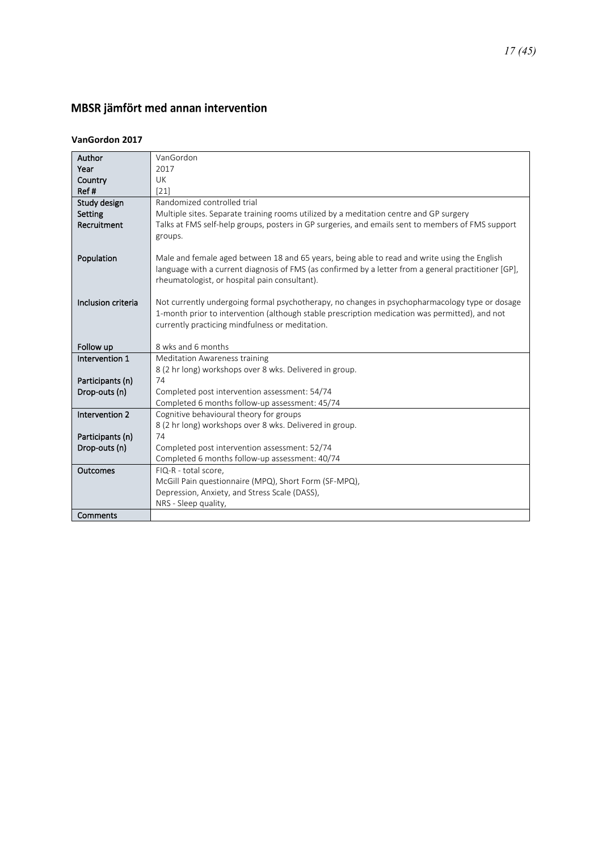## <span id="page-16-0"></span>MBSR jämfört med annan intervention

#### **VanGordon 2017**

| Author             | VanGordon                                                                                            |
|--------------------|------------------------------------------------------------------------------------------------------|
| Year               | 2017                                                                                                 |
| Country            | <b>UK</b>                                                                                            |
| Ref#               | [21]                                                                                                 |
| Study design       | Randomized controlled trial                                                                          |
| Setting            | Multiple sites. Separate training rooms utilized by a meditation centre and GP surgery               |
| Recruitment        | Talks at FMS self-help groups, posters in GP surgeries, and emails sent to members of FMS support    |
|                    | groups.                                                                                              |
|                    |                                                                                                      |
| Population         | Male and female aged between 18 and 65 years, being able to read and write using the English         |
|                    | language with a current diagnosis of FMS (as confirmed by a letter from a general practitioner [GP], |
|                    | rheumatologist, or hospital pain consultant).                                                        |
| Inclusion criteria | Not currently undergoing formal psychotherapy, no changes in psychopharmacology type or dosage       |
|                    | 1-month prior to intervention (although stable prescription medication was permitted), and not       |
|                    | currently practicing mindfulness or meditation.                                                      |
|                    |                                                                                                      |
| Follow up          | 8 wks and 6 months                                                                                   |
| Intervention 1     | <b>Meditation Awareness training</b>                                                                 |
|                    | 8 (2 hr long) workshops over 8 wks. Delivered in group.                                              |
| Participants (n)   | 74                                                                                                   |
| Drop-outs (n)      | Completed post intervention assessment: 54/74                                                        |
|                    | Completed 6 months follow-up assessment: 45/74                                                       |
| Intervention 2     | Cognitive behavioural theory for groups                                                              |
|                    | 8 (2 hr long) workshops over 8 wks. Delivered in group.                                              |
| Participants (n)   | 74                                                                                                   |
| Drop-outs (n)      | Completed post intervention assessment: 52/74                                                        |
|                    | Completed 6 months follow-up assessment: 40/74                                                       |
| Outcomes           | FIQ-R - total score,                                                                                 |
|                    | McGill Pain questionnaire (MPQ), Short Form (SF-MPQ),                                                |
|                    | Depression, Anxiety, and Stress Scale (DASS),                                                        |
|                    | NRS - Sleep quality,                                                                                 |
| Comments           |                                                                                                      |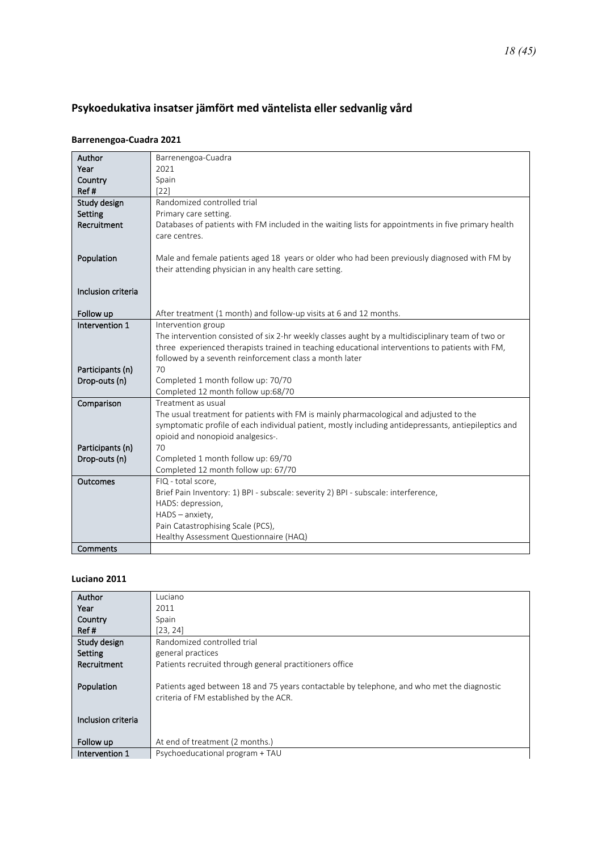## <span id="page-17-0"></span>**Psykoedukativa insatser jämfört med**

#### **Barrenengoa-Cuadra 2021**

| Author             | Barrenengoa-Cuadra                                                                                   |
|--------------------|------------------------------------------------------------------------------------------------------|
| Year               | 2021                                                                                                 |
| Country            | Spain                                                                                                |
| Ref#               | $[22]$                                                                                               |
| Study design       | Randomized controlled trial                                                                          |
| Setting            | Primary care setting.                                                                                |
| Recruitment        | Databases of patients with FM included in the waiting lists for appointments in five primary health  |
|                    | care centres.                                                                                        |
|                    |                                                                                                      |
| Population         | Male and female patients aged 18 years or older who had been previously diagnosed with FM by         |
|                    | their attending physician in any health care setting.                                                |
|                    |                                                                                                      |
| Inclusion criteria |                                                                                                      |
|                    |                                                                                                      |
| Follow up          | After treatment (1 month) and follow-up visits at 6 and 12 months.                                   |
| Intervention 1     | Intervention group                                                                                   |
|                    | The intervention consisted of six 2-hr weekly classes aught by a multidisciplinary team of two or    |
|                    | three experienced therapists trained in teaching educational interventions to patients with FM,      |
|                    | followed by a seventh reinforcement class a month later                                              |
| Participants (n)   | 70                                                                                                   |
| Drop-outs (n)      | Completed 1 month follow up: 70/70                                                                   |
|                    | Completed 12 month follow up:68/70                                                                   |
| Comparison         | Treatment as usual                                                                                   |
|                    | The usual treatment for patients with FM is mainly pharmacological and adjusted to the               |
|                    | symptomatic profile of each individual patient, mostly including antidepressants, antiepileptics and |
|                    | opioid and nonopioid analgesics-.                                                                    |
| Participants (n)   | 70                                                                                                   |
| Drop-outs (n)      | Completed 1 month follow up: 69/70                                                                   |
|                    | Completed 12 month follow up: 67/70                                                                  |
| Outcomes           | FIQ - total score,                                                                                   |
|                    | Brief Pain Inventory: 1) BPI - subscale: severity 2) BPI - subscale: interference,                   |
|                    | HADS: depression,                                                                                    |
|                    | HADS - anxiety,                                                                                      |
|                    | Pain Catastrophising Scale (PCS),                                                                    |
|                    | Healthy Assessment Questionnaire (HAQ)                                                               |
| Comments           |                                                                                                      |

#### **Luciano 2011**

| Author             | Luciano                                                                                    |
|--------------------|--------------------------------------------------------------------------------------------|
| Year               | 2011                                                                                       |
| Country            | Spain                                                                                      |
| Ref#               | [23, 24]                                                                                   |
| Study design       | Randomized controlled trial                                                                |
| Setting            | general practices                                                                          |
| Recruitment        | Patients recruited through general practitioners office                                    |
|                    |                                                                                            |
| Population         | Patients aged between 18 and 75 years contactable by telephone, and who met the diagnostic |
|                    | criteria of FM established by the ACR.                                                     |
|                    |                                                                                            |
| Inclusion criteria |                                                                                            |
|                    |                                                                                            |
| Follow up          | At end of treatment (2 months.)                                                            |
| Intervention 1     | Psychoeducational program + TAU                                                            |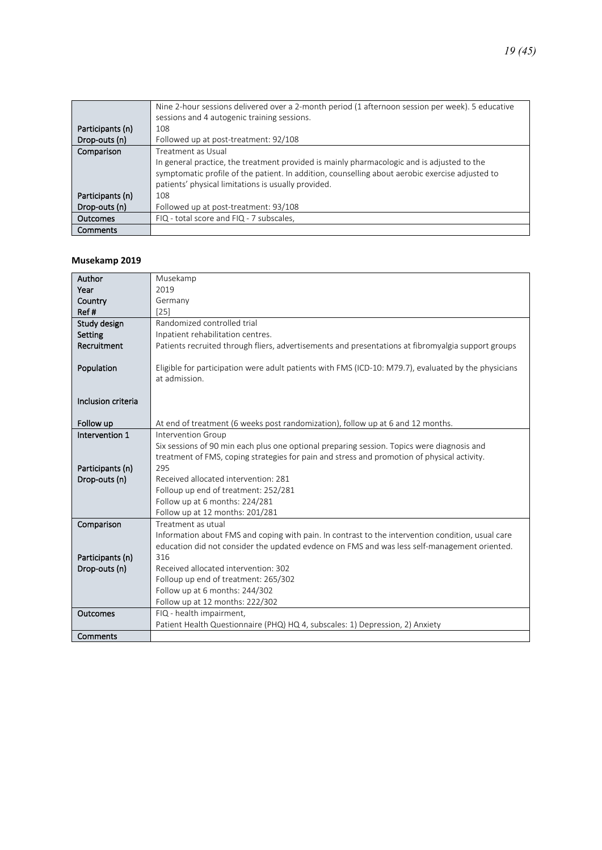|                  | Nine 2-hour sessions delivered over a 2-month period (1 afternoon session per week). 5 educative<br>sessions and 4 autogenic training sessions. |
|------------------|-------------------------------------------------------------------------------------------------------------------------------------------------|
|                  |                                                                                                                                                 |
| Participants (n) | 108                                                                                                                                             |
| Drop-outs (n)    | Followed up at post-treatment: 92/108                                                                                                           |
| Comparison       | Treatment as Usual                                                                                                                              |
|                  | In general practice, the treatment provided is mainly pharmacologic and is adjusted to the                                                      |
|                  | symptomatic profile of the patient. In addition, counselling about aerobic exercise adjusted to                                                 |
|                  | patients' physical limitations is usually provided.                                                                                             |
| Participants (n) | 108                                                                                                                                             |
| Drop-outs (n)    | Followed up at post-treatment: 93/108                                                                                                           |
| Outcomes         | FIQ - total score and FIQ - 7 subscales,                                                                                                        |
| Comments         |                                                                                                                                                 |

#### **Musekamp 2019**

| Author             | Musekamp                                                                                             |
|--------------------|------------------------------------------------------------------------------------------------------|
| Year               | 2019                                                                                                 |
| Country            | Germany                                                                                              |
| Ref#               | $[25]$                                                                                               |
| Study design       | Randomized controlled trial                                                                          |
| Setting            | Inpatient rehabilitation centres.                                                                    |
| Recruitment        | Patients recruited through fliers, advertisements and presentations at fibromyalgia support groups   |
|                    |                                                                                                      |
| Population         | Eligible for participation were adult patients with FMS (ICD-10: M79.7), evaluated by the physicians |
|                    | at admission.                                                                                        |
| Inclusion criteria |                                                                                                      |
|                    |                                                                                                      |
| Follow up          | At end of treatment (6 weeks post randomization), follow up at 6 and 12 months.                      |
| Intervention 1     | Intervention Group                                                                                   |
|                    | Six sessions of 90 min each plus one optional preparing session. Topics were diagnosis and           |
|                    | treatment of FMS, coping strategies for pain and stress and promotion of physical activity.          |
| Participants (n)   | 295                                                                                                  |
| Drop-outs (n)      | Received allocated intervention: 281                                                                 |
|                    | Folloup up end of treatment: 252/281                                                                 |
|                    | Follow up at 6 months: 224/281                                                                       |
|                    | Follow up at 12 months: 201/281                                                                      |
| Comparison         | Treatment as utual                                                                                   |
|                    | Information about FMS and coping with pain. In contrast to the intervention condition, usual care    |
|                    | education did not consider the updated evdence on FMS and was less self-management oriented.         |
| Participants (n)   | 316                                                                                                  |
| Drop-outs (n)      | Received allocated intervention: 302                                                                 |
|                    | Folloup up end of treatment: 265/302                                                                 |
|                    | Follow up at 6 months: 244/302                                                                       |
|                    | Follow up at 12 months: 222/302                                                                      |
| <b>Outcomes</b>    | FIQ - health impairment,                                                                             |
|                    | Patient Health Questionnaire (PHQ) HQ 4, subscales: 1) Depression, 2) Anxiety                        |
| Comments           |                                                                                                      |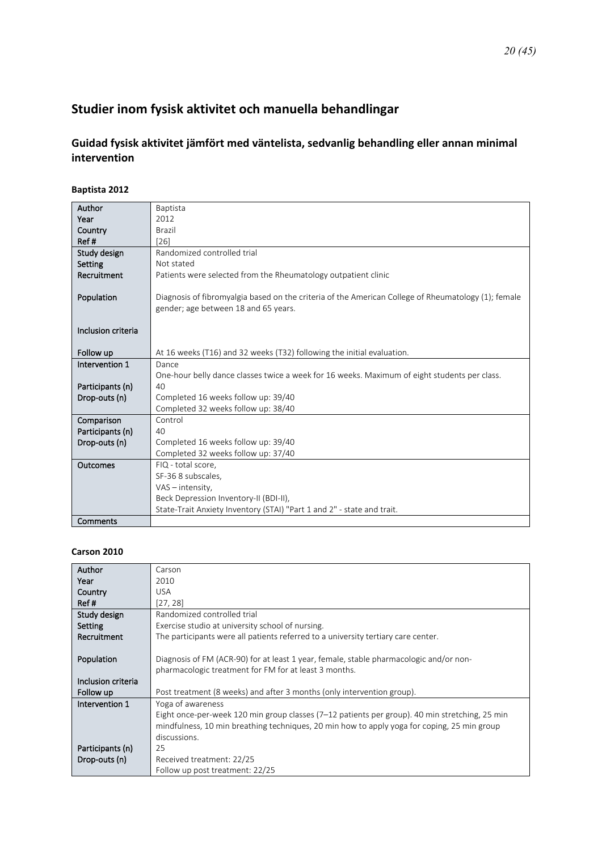## <span id="page-19-1"></span><span id="page-19-0"></span>**Studier inom fysisk aktivitet och manuella behandlingar**

### **Guidad fysisk aktivitet jämfört med väntelista, sedvanlig behandling eller annan minimal intervention**

#### **Baptista 2012**

| Author             | <b>Baptista</b>                                                                                     |
|--------------------|-----------------------------------------------------------------------------------------------------|
| Year               | 2012                                                                                                |
| Country            | Brazil                                                                                              |
| Ref#               | [26]                                                                                                |
| Study design       | Randomized controlled trial                                                                         |
| Setting            | Not stated                                                                                          |
| Recruitment        | Patients were selected from the Rheumatology outpatient clinic                                      |
|                    |                                                                                                     |
| Population         | Diagnosis of fibromyalgia based on the criteria of the American College of Rheumatology (1); female |
|                    | gender; age between 18 and 65 years.                                                                |
|                    |                                                                                                     |
| Inclusion criteria |                                                                                                     |
|                    |                                                                                                     |
| Follow up          | At 16 weeks (T16) and 32 weeks (T32) following the initial evaluation.                              |
| Intervention 1     | Dance                                                                                               |
|                    | One-hour belly dance classes twice a week for 16 weeks. Maximum of eight students per class.        |
| Participants (n)   | 40                                                                                                  |
| Drop-outs (n)      | Completed 16 weeks follow up: 39/40                                                                 |
|                    | Completed 32 weeks follow up: 38/40                                                                 |
| Comparison         | Control                                                                                             |
| Participants (n)   | 40                                                                                                  |
| Drop-outs (n)      | Completed 16 weeks follow up: 39/40                                                                 |
|                    | Completed 32 weeks follow up: 37/40                                                                 |
| Outcomes           | FIQ - total score,                                                                                  |
|                    | SF-36 8 subscales,                                                                                  |
|                    | VAS - intensity,                                                                                    |
|                    | Beck Depression Inventory-II (BDI-II),                                                              |
|                    | State-Trait Anxiety Inventory (STAI) "Part 1 and 2" - state and trait.                              |
| Comments           |                                                                                                     |

#### **Carson 2010**

| Author             | Carson                                                                                         |
|--------------------|------------------------------------------------------------------------------------------------|
| Year               | 2010                                                                                           |
| Country            | <b>USA</b>                                                                                     |
| Ref#               | [27, 28]                                                                                       |
| Study design       | Randomized controlled trial                                                                    |
| Setting            | Exercise studio at university school of nursing.                                               |
| Recruitment        | The participants were all patients referred to a university tertiary care center.              |
|                    |                                                                                                |
| Population         | Diagnosis of FM (ACR-90) for at least 1 year, female, stable pharmacologic and/or non-         |
|                    | pharmacologic treatment for FM for at least 3 months.                                          |
| Inclusion criteria |                                                                                                |
| Follow up          | Post treatment (8 weeks) and after 3 months (only intervention group).                         |
| Intervention 1     | Yoga of awareness                                                                              |
|                    | Eight once-per-week 120 min group classes (7–12 patients per group). 40 min stretching, 25 min |
|                    | mindfulness, 10 min breathing techniques, 20 min how to apply yoga for coping, 25 min group    |
|                    | discussions.                                                                                   |
| Participants (n)   | 25                                                                                             |
| Drop-outs (n)      | Received treatment: 22/25                                                                      |
|                    | Follow up post treatment: 22/25                                                                |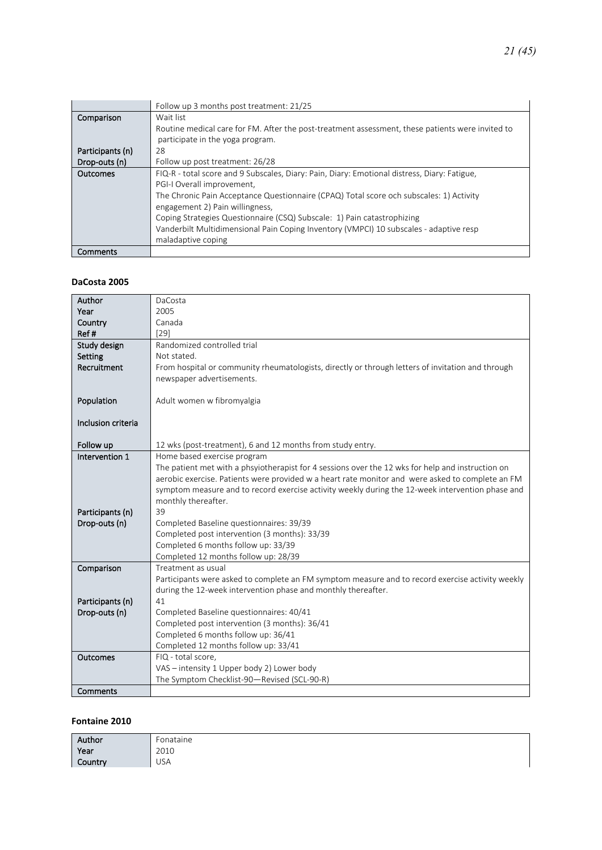|                  | Follow up 3 months post treatment: 21/25                                                         |
|------------------|--------------------------------------------------------------------------------------------------|
| Comparison       | Wait list                                                                                        |
|                  | Routine medical care for FM. After the post-treatment assessment, these patients were invited to |
|                  | participate in the yoga program.                                                                 |
| Participants (n) | 28                                                                                               |
| Drop-outs (n)    | Follow up post treatment: 26/28                                                                  |
| Outcomes         | FIQ-R - total score and 9 Subscales, Diary: Pain, Diary: Emotional distress, Diary: Fatigue,     |
|                  | PGI-I Overall improvement,                                                                       |
|                  | The Chronic Pain Acceptance Questionnaire (CPAQ) Total score och subscales: 1) Activity          |
|                  | engagement 2) Pain willingness,                                                                  |
|                  | Coping Strategies Questionnaire (CSQ) Subscale: 1) Pain catastrophizing                          |
|                  | Vanderbilt Multidimensional Pain Coping Inventory (VMPCI) 10 subscales - adaptive resp           |
|                  | maladaptive coping                                                                               |
| Comments         |                                                                                                  |

#### **DaCosta 2005**

| Author             | DaCosta                                                                                           |
|--------------------|---------------------------------------------------------------------------------------------------|
| Year               | 2005                                                                                              |
| Country            | Canada                                                                                            |
| Ref#               | $[29]$                                                                                            |
| Study design       | Randomized controlled trial                                                                       |
| Setting            | Not stated.                                                                                       |
| Recruitment        | From hospital or community rheumatologists, directly or through letters of invitation and through |
|                    | newspaper advertisements.                                                                         |
|                    |                                                                                                   |
| Population         | Adult women w fibromyalgia                                                                        |
|                    |                                                                                                   |
| Inclusion criteria |                                                                                                   |
|                    |                                                                                                   |
| Follow up          | 12 wks (post-treatment), 6 and 12 months from study entry.                                        |
| Intervention 1     | Home based exercise program                                                                       |
|                    | The patient met with a phsyiotherapist for 4 sessions over the 12 wks for help and instruction on |
|                    | aerobic exercise. Patients were provided w a heart rate monitor and were asked to complete an FM  |
|                    | symptom measure and to record exercise activity weekly during the 12-week intervention phase and  |
|                    | monthly thereafter.                                                                               |
| Participants (n)   | 39                                                                                                |
| Drop-outs (n)      | Completed Baseline questionnaires: 39/39                                                          |
|                    | Completed post intervention (3 months): 33/39                                                     |
|                    | Completed 6 months follow up: 33/39                                                               |
|                    | Completed 12 months follow up: 28/39                                                              |
| Comparison         | Treatment as usual                                                                                |
|                    | Participants were asked to complete an FM symptom measure and to record exercise activity weekly  |
|                    | during the 12-week intervention phase and monthly thereafter.                                     |
| Participants (n)   | 41                                                                                                |
| Drop-outs (n)      | Completed Baseline questionnaires: 40/41                                                          |
|                    | Completed post intervention (3 months): 36/41                                                     |
|                    | Completed 6 months follow up: 36/41                                                               |
|                    | Completed 12 months follow up: 33/41                                                              |
| <b>Outcomes</b>    | FIQ - total score,                                                                                |
|                    | VAS - intensity 1 Upper body 2) Lower body                                                        |
|                    | The Symptom Checklist-90-Revised (SCL-90-R)                                                       |
| Comments           |                                                                                                   |

#### **Fontaine 2010**

| Author  | Fonataine  |
|---------|------------|
| Year    | 2010       |
| Country | <b>USA</b> |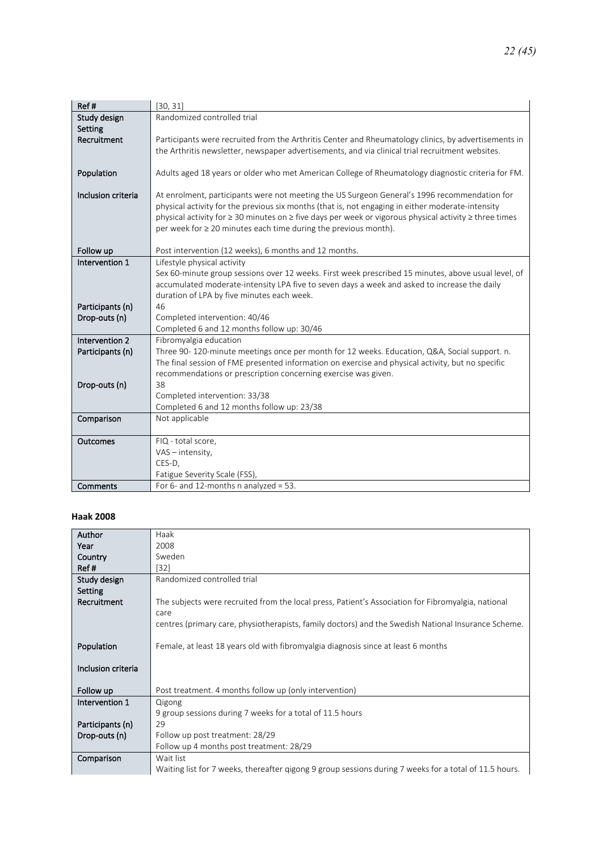| Ref#               | [30, 31]                                                                                               |
|--------------------|--------------------------------------------------------------------------------------------------------|
| Study design       | Randomized controlled trial                                                                            |
| Setting            |                                                                                                        |
| Recruitment        | Participants were recruited from the Arthritis Center and Rheumatology clinics, by advertisements in   |
|                    | the Arthritis newsletter, newspaper advertisements, and via clinical trial recruitment websites.       |
|                    |                                                                                                        |
| Population         | Adults aged 18 years or older who met American College of Rheumatology diagnostic criteria for FM.     |
| Inclusion criteria | At enrolment, participants were not meeting the US Surgeon General's 1996 recommendation for           |
|                    | physical activity for the previous six months (that is, not engaging in either moderate-intensity      |
|                    | physical activity for ≥ 30 minutes on ≥ five days per week or vigorous physical activity ≥ three times |
|                    | per week for ≥ 20 minutes each time during the previous month).                                        |
|                    |                                                                                                        |
| Follow up          | Post intervention (12 weeks), 6 months and 12 months.                                                  |
| Intervention 1     | Lifestyle physical activity                                                                            |
|                    | Sex 60-minute group sessions over 12 weeks. First week prescribed 15 minutes, above usual level, of    |
|                    | accumulated moderate-intensity LPA five to seven days a week and asked to increase the daily           |
|                    | duration of LPA by five minutes each week.                                                             |
| Participants (n)   | 46                                                                                                     |
| Drop-outs (n)      | Completed intervention: 40/46<br>Completed 6 and 12 months follow up: 30/46                            |
| Intervention 2     | Fibromyalgia education                                                                                 |
| Participants (n)   | Three 90-120-minute meetings once per month for 12 weeks. Education, Q&A, Social support. n.           |
|                    | The final session of FME presented information on exercise and physical activity, but no specific      |
|                    | recommendations or prescription concerning exercise was given.                                         |
| Drop-outs (n)      | 38                                                                                                     |
|                    | Completed intervention: 33/38                                                                          |
|                    | Completed 6 and 12 months follow up: 23/38                                                             |
| Comparison         | Not applicable                                                                                         |
|                    |                                                                                                        |
| Outcomes           | FIQ - total score,                                                                                     |
|                    | VAS - intensity,                                                                                       |
|                    | CES-D,                                                                                                 |
|                    | Fatigue Severity Scale (FSS),                                                                          |
| Comments           | For 6- and 12-months n analyzed = 53.                                                                  |

#### **Haak 2008**

| <b>Author</b>      | Haak                                                                                                   |
|--------------------|--------------------------------------------------------------------------------------------------------|
| Year               | 2008                                                                                                   |
| Country            | Sweden                                                                                                 |
| Ref#               | [32]                                                                                                   |
| Study design       | Randomized controlled trial                                                                            |
| Setting            |                                                                                                        |
| Recruitment        | The subjects were recruited from the local press, Patient's Association for Fibromyalgia, national     |
|                    | care                                                                                                   |
|                    | centres (primary care, physiotherapists, family doctors) and the Swedish National Insurance Scheme.    |
|                    |                                                                                                        |
| Population         | Female, at least 18 years old with fibromyalgia diagnosis since at least 6 months                      |
|                    |                                                                                                        |
| Inclusion criteria |                                                                                                        |
|                    |                                                                                                        |
| Follow up          | Post treatment. 4 months follow up (only intervention)                                                 |
| Intervention 1     | Qigong                                                                                                 |
|                    | 9 group sessions during 7 weeks for a total of 11.5 hours                                              |
| Participants (n)   | 29                                                                                                     |
| Drop-outs (n)      | Follow up post treatment: 28/29                                                                        |
|                    | Follow up 4 months post treatment: 28/29                                                               |
| Comparison         | Wait list                                                                                              |
|                    | Waiting list for 7 weeks, thereafter gigong 9 group sessions during 7 weeks for a total of 11.5 hours. |
|                    |                                                                                                        |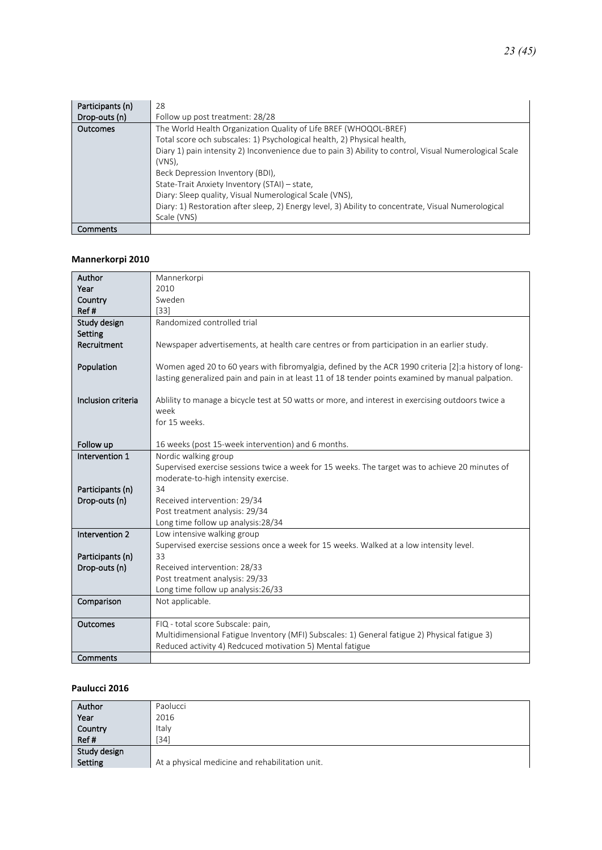| Participants (n) | 28                                                                                                     |
|------------------|--------------------------------------------------------------------------------------------------------|
| Drop-outs (n)    | Follow up post treatment: 28/28                                                                        |
| Outcomes         | The World Health Organization Quality of Life BREF (WHOQOL-BREF)                                       |
|                  | Total score och subscales: 1) Psychological health, 2) Physical health,                                |
|                  | Diary 1) pain intensity 2) Inconvenience due to pain 3) Ability to control, Visual Numerological Scale |
|                  | $(VNS)$ .                                                                                              |
|                  | Beck Depression Inventory (BDI),                                                                       |
|                  | State-Trait Anxiety Inventory (STAI) - state,                                                          |
|                  | Diary: Sleep quality, Visual Numerological Scale (VNS),                                                |
|                  | Diary: 1) Restoration after sleep, 2) Energy level, 3) Ability to concentrate, Visual Numerological    |
|                  | Scale (VNS)                                                                                            |
| Comments         |                                                                                                        |

#### **Mannerkorpi 2010**

| Author                            | Mannerkorpi                                                                                           |  |
|-----------------------------------|-------------------------------------------------------------------------------------------------------|--|
| Year                              | 2010                                                                                                  |  |
| Country                           | Sweden                                                                                                |  |
| Ref#                              | $[33]$                                                                                                |  |
| Study design                      | Randomized controlled trial                                                                           |  |
| Setting                           |                                                                                                       |  |
| Recruitment                       | Newspaper advertisements, at health care centres or from participation in an earlier study.           |  |
|                                   |                                                                                                       |  |
| Population                        | Women aged 20 to 60 years with fibromyalgia, defined by the ACR 1990 criteria [2]: a history of long- |  |
|                                   | lasting generalized pain and pain in at least 11 of 18 tender points examined by manual palpation.    |  |
| Inclusion criteria                | Ablility to manage a bicycle test at 50 watts or more, and interest in exercising outdoors twice a    |  |
|                                   | week                                                                                                  |  |
|                                   | for 15 weeks.                                                                                         |  |
|                                   |                                                                                                       |  |
| Follow up                         | 16 weeks (post 15-week intervention) and 6 months.                                                    |  |
| Intervention 1                    | Nordic walking group                                                                                  |  |
|                                   | Supervised exercise sessions twice a week for 15 weeks. The target was to achieve 20 minutes of       |  |
|                                   | moderate-to-high intensity exercise.                                                                  |  |
| Participants (n)                  | 34                                                                                                    |  |
| Drop-outs (n)                     | Received intervention: 29/34                                                                          |  |
|                                   | Post treatment analysis: 29/34                                                                        |  |
|                                   | Long time follow up analysis:28/34                                                                    |  |
| Intervention 2                    | Low intensive walking group                                                                           |  |
|                                   | Supervised exercise sessions once a week for 15 weeks. Walked at a low intensity level.<br>33         |  |
| Participants (n)<br>Drop-outs (n) | Received intervention: 28/33                                                                          |  |
|                                   | Post treatment analysis: 29/33                                                                        |  |
|                                   | Long time follow up analysis:26/33                                                                    |  |
| Comparison                        | Not applicable.                                                                                       |  |
|                                   |                                                                                                       |  |
| Outcomes                          | FIQ - total score Subscale: pain,                                                                     |  |
|                                   | Multidimensional Fatigue Inventory (MFI) Subscales: 1) General fatigue 2) Physical fatigue 3)         |  |
|                                   | Reduced activity 4) Redcuced motivation 5) Mental fatigue                                             |  |
| Comments                          |                                                                                                       |  |

#### **Paulucci 2016**

| Author       | Paolucci                                        |
|--------------|-------------------------------------------------|
| Year         | 2016                                            |
| Country      | Italy                                           |
| Ref#         | [34]                                            |
| Study design |                                                 |
| Setting      | At a physical medicine and rehabilitation unit. |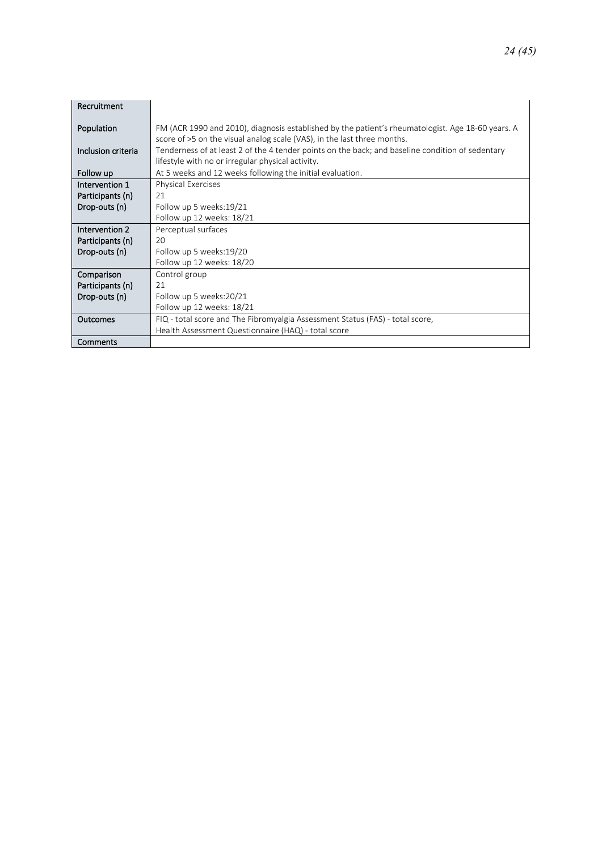| Recruitment        |                                                                                                                                                                              |
|--------------------|------------------------------------------------------------------------------------------------------------------------------------------------------------------------------|
| Population         | FM (ACR 1990 and 2010), diagnosis established by the patient's rheumatologist. Age 18-60 years. A<br>score of >5 on the visual analog scale (VAS), in the last three months. |
| Inclusion criteria | Tenderness of at least 2 of the 4 tender points on the back; and baseline condition of sedentary<br>lifestyle with no or irregular physical activity.                        |
| Follow up          | At 5 weeks and 12 weeks following the initial evaluation.                                                                                                                    |
| Intervention 1     | <b>Physical Exercises</b>                                                                                                                                                    |
| Participants (n)   | 21                                                                                                                                                                           |
| Drop-outs (n)      | Follow up 5 weeks: 19/21                                                                                                                                                     |
|                    | Follow up 12 weeks: 18/21                                                                                                                                                    |
| Intervention 2     | Perceptual surfaces                                                                                                                                                          |
| Participants (n)   | 20                                                                                                                                                                           |
| Drop-outs (n)      | Follow up 5 weeks:19/20                                                                                                                                                      |
|                    | Follow up 12 weeks: 18/20                                                                                                                                                    |
| Comparison         | Control group                                                                                                                                                                |
| Participants (n)   | 21                                                                                                                                                                           |
| Drop-outs (n)      | Follow up 5 weeks:20/21                                                                                                                                                      |
|                    | Follow up 12 weeks: 18/21                                                                                                                                                    |
| Outcomes           | FIQ - total score and The Fibromyalgia Assessment Status (FAS) - total score,                                                                                                |
|                    | Health Assessment Questionnaire (HAQ) - total score                                                                                                                          |
| Comments           |                                                                                                                                                                              |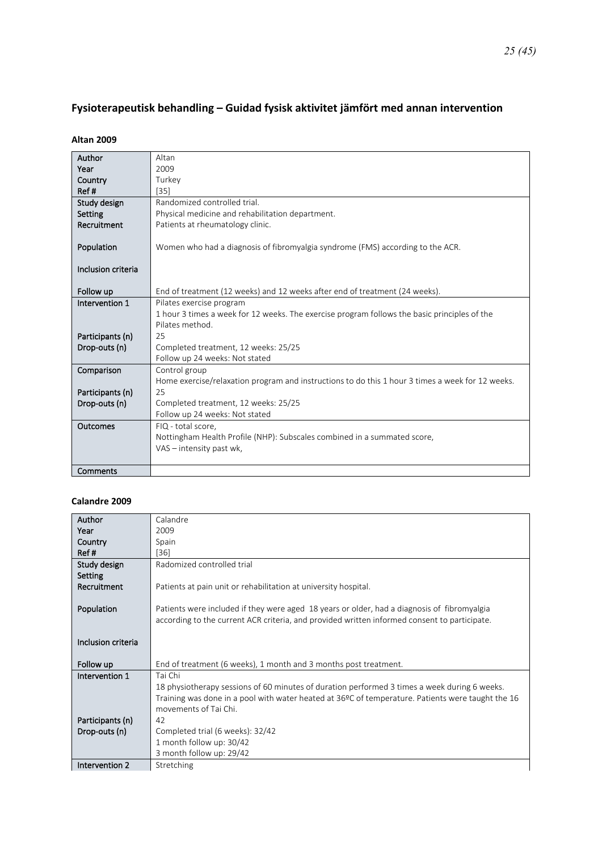## <span id="page-24-0"></span>**Fysioterapeutisk behandling – Guidad fysisk aktivitet jämfört med annan intervention**

#### **Altan 2009**

| Author             | Altan                                                                                            |
|--------------------|--------------------------------------------------------------------------------------------------|
| Year               | 2009                                                                                             |
| Country            | Turkey                                                                                           |
| Ref#               | $[35]$                                                                                           |
| Study design       | Randomized controlled trial.                                                                     |
| Setting            | Physical medicine and rehabilitation department.                                                 |
| Recruitment        | Patients at rheumatology clinic.                                                                 |
|                    |                                                                                                  |
| Population         | Women who had a diagnosis of fibromyalgia syndrome (FMS) according to the ACR.                   |
|                    |                                                                                                  |
| Inclusion criteria |                                                                                                  |
|                    |                                                                                                  |
| Follow up          | End of treatment (12 weeks) and 12 weeks after end of treatment (24 weeks).                      |
| Intervention 1     | Pilates exercise program                                                                         |
|                    | 1 hour 3 times a week for 12 weeks. The exercise program follows the basic principles of the     |
|                    | Pilates method.                                                                                  |
| Participants (n)   | 25                                                                                               |
| Drop-outs (n)      | Completed treatment, 12 weeks: 25/25                                                             |
|                    | Follow up 24 weeks: Not stated                                                                   |
| Comparison         | Control group                                                                                    |
|                    | Home exercise/relaxation program and instructions to do this 1 hour 3 times a week for 12 weeks. |
| Participants (n)   | 25                                                                                               |
| Drop-outs (n)      | Completed treatment, 12 weeks: 25/25                                                             |
|                    | Follow up 24 weeks: Not stated                                                                   |
| Outcomes           | FIQ - total score,                                                                               |
|                    | Nottingham Health Profile (NHP): Subscales combined in a summated score,                         |
|                    | VAS - intensity past wk,                                                                         |
|                    |                                                                                                  |
| Comments           |                                                                                                  |

#### **Calandre 2009**

| Author             | Calandre                                                                                          |
|--------------------|---------------------------------------------------------------------------------------------------|
| Year               | 2009                                                                                              |
| Country            | Spain                                                                                             |
| Ref#               | [36]                                                                                              |
| Study design       | Radomized controlled trial                                                                        |
| Setting            |                                                                                                   |
| Recruitment        | Patients at pain unit or rehabilitation at university hospital.                                   |
|                    |                                                                                                   |
| Population         | Patients were included if they were aged 18 years or older, had a diagnosis of fibromyalgia       |
|                    | according to the current ACR criteria, and provided written informed consent to participate.      |
|                    |                                                                                                   |
| Inclusion criteria |                                                                                                   |
|                    |                                                                                                   |
| Follow up          | End of treatment (6 weeks), 1 month and 3 months post treatment.                                  |
| Intervention 1     | Tai Chi                                                                                           |
|                    | 18 physiotherapy sessions of 60 minutes of duration performed 3 times a week during 6 weeks.      |
|                    | Training was done in a pool with water heated at 36ºC of temperature. Patients were taught the 16 |
|                    | movements of Tai Chi.                                                                             |
| Participants (n)   | 42                                                                                                |
| Drop-outs (n)      | Completed trial (6 weeks): 32/42                                                                  |
|                    | 1 month follow up: 30/42                                                                          |
|                    | 3 month follow up: 29/42                                                                          |
| Intervention 2     | Stretching                                                                                        |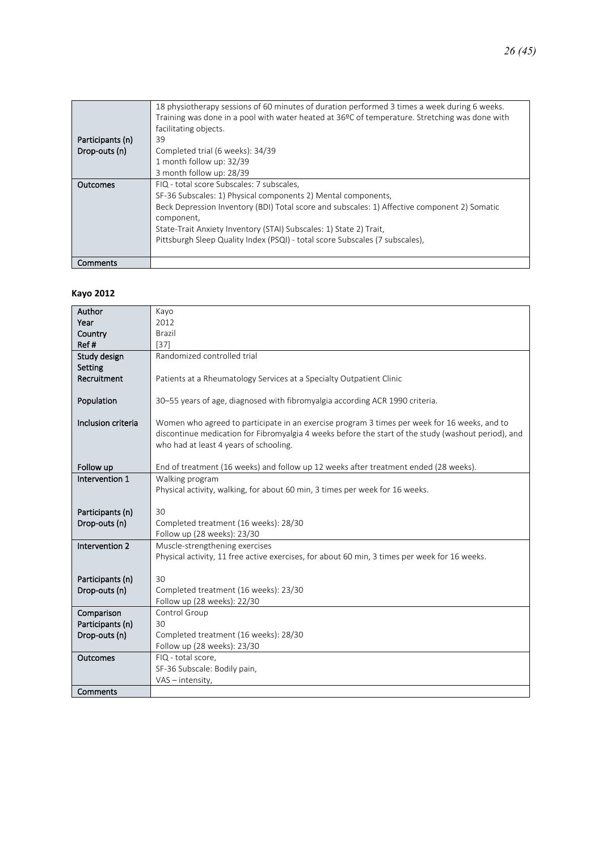|                  | 18 physiotherapy sessions of 60 minutes of duration performed 3 times a week during 6 weeks.<br>Training was done in a pool with water heated at 36°C of temperature. Stretching was done with<br>facilitating objects. |
|------------------|-------------------------------------------------------------------------------------------------------------------------------------------------------------------------------------------------------------------------|
| Participants (n) | 39                                                                                                                                                                                                                      |
| Drop-outs (n)    | Completed trial (6 weeks): 34/39                                                                                                                                                                                        |
|                  | 1 month follow up: 32/39                                                                                                                                                                                                |
|                  | 3 month follow up: 28/39                                                                                                                                                                                                |
| Outcomes         | FIQ - total score Subscales: 7 subscales,                                                                                                                                                                               |
|                  | SF-36 Subscales: 1) Physical components 2) Mental components,                                                                                                                                                           |
|                  | Beck Depression Inventory (BDI) Total score and subscales: 1) Affective component 2) Somatic                                                                                                                            |
|                  | component,                                                                                                                                                                                                              |
|                  | State-Trait Anxiety Inventory (STAI) Subscales: 1) State 2) Trait,                                                                                                                                                      |
|                  | Pittsburgh Sleep Quality Index (PSQI) - total score Subscales (7 subscales),                                                                                                                                            |
|                  |                                                                                                                                                                                                                         |
| Comments         |                                                                                                                                                                                                                         |

#### **Kayo 2012**

| Author             | Kayo                                                                                                                            |
|--------------------|---------------------------------------------------------------------------------------------------------------------------------|
| Year               | 2012                                                                                                                            |
| Country            | <b>Brazil</b>                                                                                                                   |
| Ref#               | $[37]$                                                                                                                          |
| Study design       | Randomized controlled trial                                                                                                     |
| Setting            |                                                                                                                                 |
| Recruitment        | Patients at a Rheumatology Services at a Specialty Outpatient Clinic                                                            |
|                    |                                                                                                                                 |
| Population         | 30–55 years of age, diagnosed with fibromyalgia according ACR 1990 criteria.                                                    |
|                    |                                                                                                                                 |
| Inclusion criteria | Women who agreed to participate in an exercise program 3 times per week for 16 weeks, and to                                    |
|                    | discontinue medication for Fibromyalgia 4 weeks before the start of the study (washout period), and                             |
|                    | who had at least 4 years of schooling.                                                                                          |
|                    |                                                                                                                                 |
| Follow up          | End of treatment (16 weeks) and follow up 12 weeks after treatment ended (28 weeks).                                            |
| Intervention 1     | Walking program                                                                                                                 |
|                    | Physical activity, walking, for about 60 min, 3 times per week for 16 weeks.                                                    |
|                    |                                                                                                                                 |
| Participants (n)   | 30                                                                                                                              |
| Drop-outs (n)      | Completed treatment (16 weeks): 28/30                                                                                           |
| Intervention 2     | Follow up (28 weeks): 23/30                                                                                                     |
|                    | Muscle-strengthening exercises<br>Physical activity, 11 free active exercises, for about 60 min, 3 times per week for 16 weeks. |
|                    |                                                                                                                                 |
| Participants (n)   | 30                                                                                                                              |
| Drop-outs (n)      | Completed treatment (16 weeks): 23/30                                                                                           |
|                    | Follow up (28 weeks): 22/30                                                                                                     |
| Comparison         | Control Group                                                                                                                   |
| Participants (n)   | 30                                                                                                                              |
| Drop-outs (n)      | Completed treatment (16 weeks): 28/30                                                                                           |
|                    | Follow up (28 weeks): 23/30                                                                                                     |
| Outcomes           | FIQ - total score,                                                                                                              |
|                    | SF-36 Subscale: Bodily pain,                                                                                                    |
|                    | VAS - intensity,                                                                                                                |
| Comments           |                                                                                                                                 |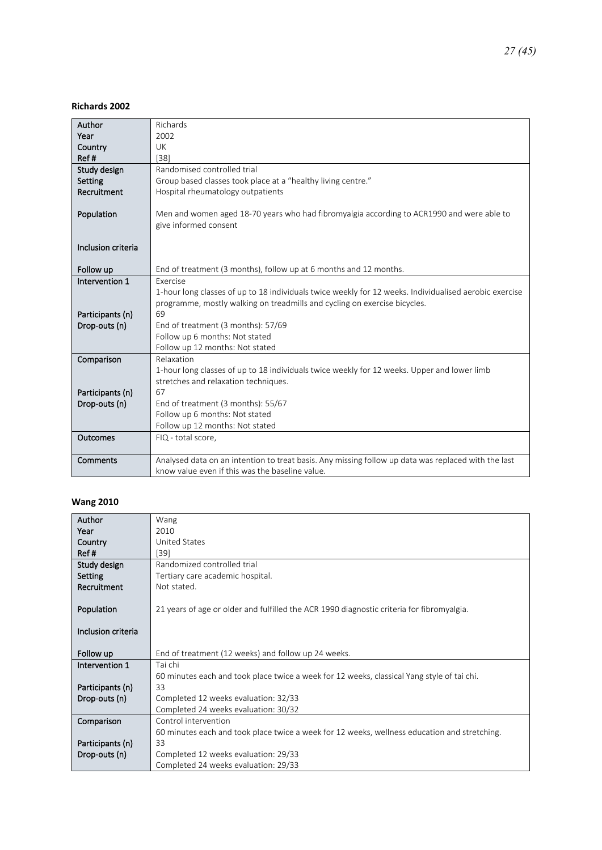#### **Richards 2002**

| Author             | Richards                                                                                                           |
|--------------------|--------------------------------------------------------------------------------------------------------------------|
| Year               | 2002                                                                                                               |
| Country            | UK                                                                                                                 |
| Ref#               | $[38]$                                                                                                             |
| Study design       | Randomised controlled trial                                                                                        |
| Setting            | Group based classes took place at a "healthy living centre."                                                       |
| Recruitment        | Hospital rheumatology outpatients                                                                                  |
|                    |                                                                                                                    |
| Population         | Men and women aged 18-70 years who had fibromyalgia according to ACR1990 and were able to<br>give informed consent |
|                    |                                                                                                                    |
| Inclusion criteria |                                                                                                                    |
|                    |                                                                                                                    |
| Follow up          | End of treatment (3 months), follow up at 6 months and 12 months.                                                  |
| Intervention 1     | Exercise                                                                                                           |
|                    | 1-hour long classes of up to 18 individuals twice weekly for 12 weeks. Individualised aerobic exercise             |
|                    | programme, mostly walking on treadmills and cycling on exercise bicycles.                                          |
| Participants (n)   | 69                                                                                                                 |
| Drop-outs (n)      | End of treatment (3 months): 57/69                                                                                 |
|                    | Follow up 6 months: Not stated                                                                                     |
|                    | Follow up 12 months: Not stated                                                                                    |
| Comparison         | Relaxation                                                                                                         |
|                    | 1-hour long classes of up to 18 individuals twice weekly for 12 weeks. Upper and lower limb                        |
|                    | stretches and relaxation techniques.<br>67                                                                         |
| Participants (n)   |                                                                                                                    |
| Drop-outs (n)      | End of treatment (3 months): 55/67<br>Follow up 6 months: Not stated                                               |
|                    | Follow up 12 months: Not stated                                                                                    |
| Outcomes           | FIQ - total score,                                                                                                 |
|                    |                                                                                                                    |
| Comments           | Analysed data on an intention to treat basis. Any missing follow up data was replaced with the last                |
|                    | know value even if this was the baseline value.                                                                    |

#### **Wang 2010**

| Author             | Wang                                                                                         |
|--------------------|----------------------------------------------------------------------------------------------|
| Year               | 2010                                                                                         |
| Country            | <b>United States</b>                                                                         |
| Ref#               | [39]                                                                                         |
| Study design       | Randomized controlled trial                                                                  |
| Setting            | Tertiary care academic hospital.                                                             |
| Recruitment        | Not stated.                                                                                  |
|                    |                                                                                              |
| Population         | 21 years of age or older and fulfilled the ACR 1990 diagnostic criteria for fibromyalgia.    |
|                    |                                                                                              |
| Inclusion criteria |                                                                                              |
|                    |                                                                                              |
| Follow up          | End of treatment (12 weeks) and follow up 24 weeks.                                          |
| Intervention 1     | Tai chi                                                                                      |
|                    | 60 minutes each and took place twice a week for 12 weeks, classical Yang style of tai chi.   |
| Participants (n)   | 33                                                                                           |
| Drop-outs (n)      | Completed 12 weeks evaluation: 32/33                                                         |
|                    | Completed 24 weeks evaluation: 30/32                                                         |
| Comparison         | Control intervention                                                                         |
|                    | 60 minutes each and took place twice a week for 12 weeks, wellness education and stretching. |
| Participants (n)   | 33                                                                                           |
| Drop-outs (n)      | Completed 12 weeks evaluation: 29/33                                                         |
|                    |                                                                                              |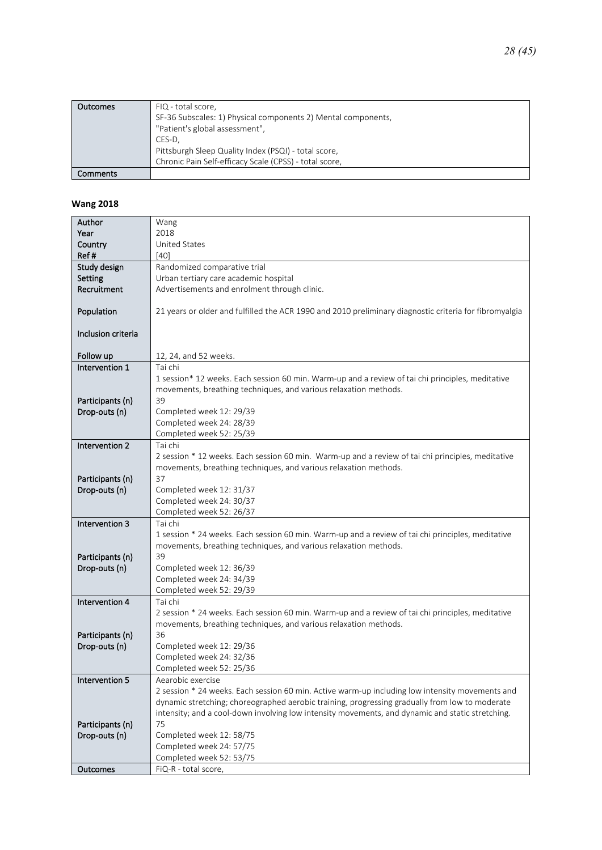| <b>Outcomes</b> | FIQ - total score,                                            |
|-----------------|---------------------------------------------------------------|
|                 | SF-36 Subscales: 1) Physical components 2) Mental components, |
|                 | "Patient's global assessment",                                |
|                 | CES-D.                                                        |
|                 | Pittsburgh Sleep Quality Index (PSQI) - total score,          |
|                 | Chronic Pain Self-efficacy Scale (CPSS) - total score,        |
| Comments        |                                                               |

#### **Wang 2018**

| Author             | Wang                                                                                                   |
|--------------------|--------------------------------------------------------------------------------------------------------|
| Year               | 2018                                                                                                   |
| Country            | United States                                                                                          |
| Ref#               | [40]                                                                                                   |
| Study design       | Randomized comparative trial                                                                           |
| Setting            | Urban tertiary care academic hospital                                                                  |
| Recruitment        | Advertisements and enrolment through clinic.                                                           |
|                    |                                                                                                        |
| Population         | 21 years or older and fulfilled the ACR 1990 and 2010 preliminary diagnostic criteria for fibromyalgia |
|                    |                                                                                                        |
| Inclusion criteria |                                                                                                        |
|                    |                                                                                                        |
| Follow up          | 12, 24, and 52 weeks.                                                                                  |
| Intervention 1     | Tai chi                                                                                                |
|                    | 1 session* 12 weeks. Each session 60 min. Warm-up and a review of tai chi principles, meditative       |
|                    | movements, breathing techniques, and various relaxation methods.                                       |
| Participants (n)   | 39                                                                                                     |
| Drop-outs (n)      | Completed week 12: 29/39                                                                               |
|                    | Completed week 24: 28/39                                                                               |
| Intervention 2     | Completed week 52: 25/39<br>Tai chi                                                                    |
|                    | 2 session * 12 weeks. Each session 60 min. Warm-up and a review of tai chi principles, meditative      |
|                    | movements, breathing techniques, and various relaxation methods.                                       |
| Participants (n)   | 37                                                                                                     |
| Drop-outs (n)      | Completed week 12: 31/37                                                                               |
|                    | Completed week 24: 30/37                                                                               |
|                    | Completed week 52: 26/37                                                                               |
| Intervention 3     | Tai chi                                                                                                |
|                    | 1 session * 24 weeks. Each session 60 min. Warm-up and a review of tai chi principles, meditative      |
|                    | movements, breathing techniques, and various relaxation methods.                                       |
| Participants (n)   | 39                                                                                                     |
| Drop-outs (n)      | Completed week 12: 36/39                                                                               |
|                    | Completed week 24: 34/39                                                                               |
|                    | Completed week 52: 29/39                                                                               |
| Intervention 4     | Tai chi                                                                                                |
|                    | 2 session * 24 weeks. Each session 60 min. Warm-up and a review of tai chi principles, meditative      |
|                    | movements, breathing techniques, and various relaxation methods.                                       |
| Participants (n)   | 36                                                                                                     |
| Drop-outs (n)      | Completed week 12: 29/36                                                                               |
|                    | Completed week 24: 32/36                                                                               |
|                    | Completed week 52: 25/36                                                                               |
| Intervention 5     | Aearobic exercise                                                                                      |
|                    | 2 session * 24 weeks. Each session 60 min. Active warm-up including low intensity movements and        |
|                    | dynamic stretching; choreographed aerobic training, progressing gradually from low to moderate         |
|                    | intensity; and a cool-down involving low intensity movements, and dynamic and static stretching.       |
| Participants (n)   | 75                                                                                                     |
| Drop-outs (n)      | Completed week 12: 58/75                                                                               |
|                    | Completed week 24: 57/75                                                                               |
|                    | Completed week 52: 53/75                                                                               |
| Outcomes           | FiQ-R - total score,                                                                                   |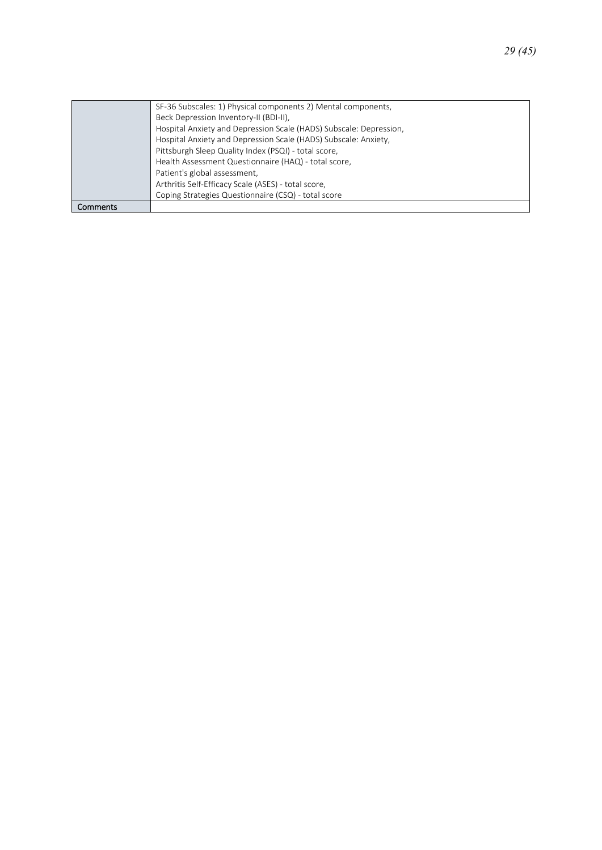|          | SF-36 Subscales: 1) Physical components 2) Mental components,      |
|----------|--------------------------------------------------------------------|
|          | Beck Depression Inventory-II (BDI-II),                             |
|          | Hospital Anxiety and Depression Scale (HADS) Subscale: Depression, |
|          | Hospital Anxiety and Depression Scale (HADS) Subscale: Anxiety,    |
|          | Pittsburgh Sleep Quality Index (PSQI) - total score,               |
|          | Health Assessment Questionnaire (HAQ) - total score,               |
|          | Patient's global assessment,                                       |
|          | Arthritis Self-Efficacy Scale (ASES) - total score,                |
|          | Coping Strategies Questionnaire (CSQ) - total score                |
| Comments |                                                                    |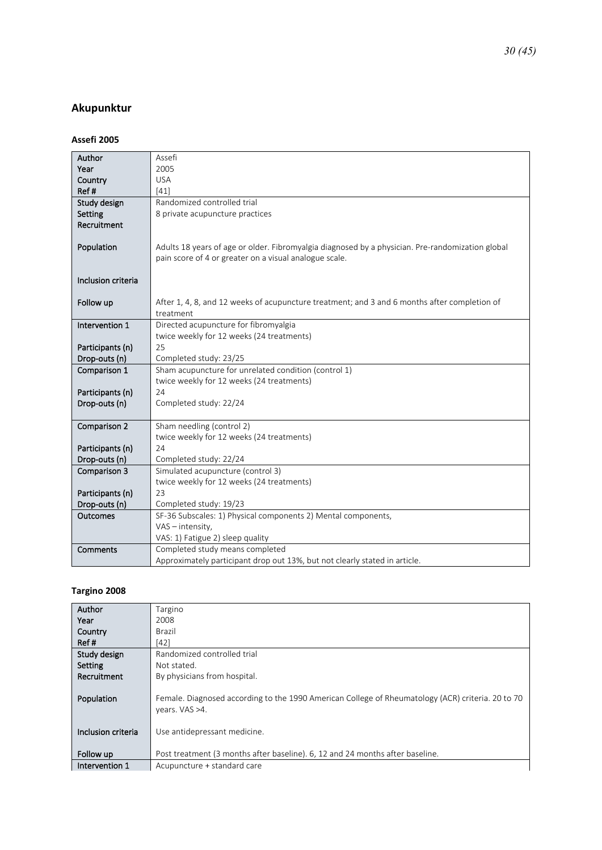### <span id="page-29-0"></span>**Akupunktur**

#### **Assefi 2005**

| Author             | Assefi                                                                                                    |
|--------------------|-----------------------------------------------------------------------------------------------------------|
| Year               | 2005                                                                                                      |
| Country            | <b>USA</b>                                                                                                |
| Ref#               | [41]                                                                                                      |
| Study design       | Randomized controlled trial                                                                               |
| Setting            | 8 private acupuncture practices                                                                           |
| Recruitment        |                                                                                                           |
|                    |                                                                                                           |
| Population         | Adults 18 years of age or older. Fibromyalgia diagnosed by a physician. Pre-randomization global          |
|                    | pain score of 4 or greater on a visual analogue scale.                                                    |
|                    |                                                                                                           |
| Inclusion criteria |                                                                                                           |
|                    |                                                                                                           |
| Follow up          | After 1, 4, 8, and 12 weeks of acupuncture treatment; and 3 and 6 months after completion of<br>treatment |
| Intervention 1     | Directed acupuncture for fibromyalgia                                                                     |
|                    | twice weekly for 12 weeks (24 treatments)                                                                 |
| Participants (n)   | 25                                                                                                        |
| Drop-outs (n)      | Completed study: 23/25                                                                                    |
| Comparison 1       | Sham acupuncture for unrelated condition (control 1)                                                      |
|                    | twice weekly for 12 weeks (24 treatments)                                                                 |
| Participants (n)   | 24                                                                                                        |
| Drop-outs (n)      | Completed study: 22/24                                                                                    |
|                    |                                                                                                           |
| Comparison 2       | Sham needling (control 2)                                                                                 |
|                    | twice weekly for 12 weeks (24 treatments)                                                                 |
| Participants (n)   | 24                                                                                                        |
| Drop-outs (n)      | Completed study: 22/24                                                                                    |
| Comparison 3       | Simulated acupuncture (control 3)                                                                         |
|                    | twice weekly for 12 weeks (24 treatments)                                                                 |
| Participants (n)   | 23                                                                                                        |
| Drop-outs (n)      | Completed study: 19/23                                                                                    |
| <b>Outcomes</b>    | SF-36 Subscales: 1) Physical components 2) Mental components,                                             |
|                    | VAS - intensity,                                                                                          |
|                    | VAS: 1) Fatigue 2) sleep quality                                                                          |
| Comments           | Completed study means completed                                                                           |
|                    | Approximately participant drop out 13%, but not clearly stated in article.                                |

#### **Targino 2008**

| Author             | Targino                                                                                                             |
|--------------------|---------------------------------------------------------------------------------------------------------------------|
| Year               | 2008                                                                                                                |
| Country            | Brazil                                                                                                              |
| Ref#               | $[42]$                                                                                                              |
| Study design       | Randomized controlled trial                                                                                         |
| Setting            | Not stated.                                                                                                         |
| Recruitment        | By physicians from hospital.                                                                                        |
| Population         | Female. Diagnosed according to the 1990 American College of Rheumatology (ACR) criteria. 20 to 70<br>years. VAS >4. |
| Inclusion criteria | Use antidepressant medicine.                                                                                        |
| Follow up          | Post treatment (3 months after baseline). 6, 12 and 24 months after baseline.                                       |
| Intervention 1     | Acupuncture + standard care                                                                                         |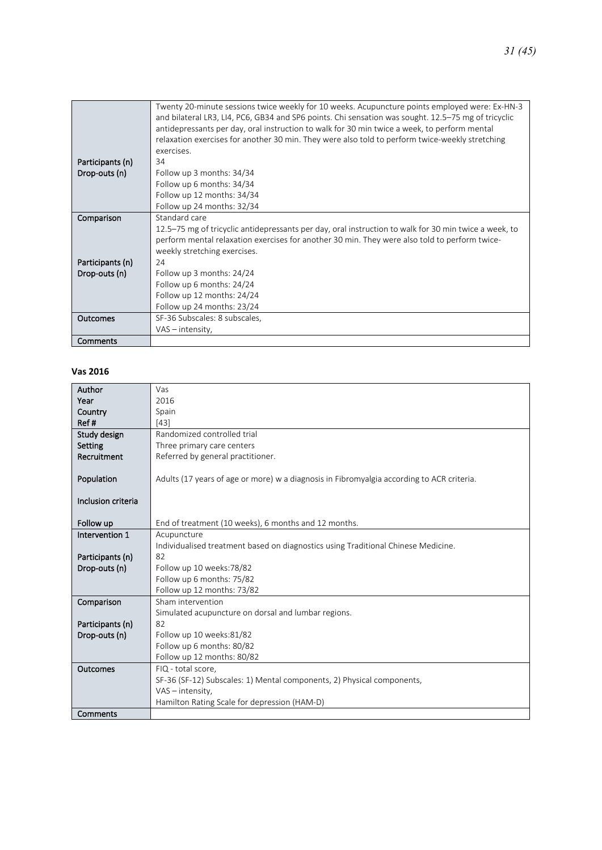|                  | Twenty 20-minute sessions twice weekly for 10 weeks. Acupuncture points employed were: Ex-HN-3        |
|------------------|-------------------------------------------------------------------------------------------------------|
|                  | and bilateral LR3, LI4, PC6, GB34 and SP6 points. Chi sensation was sought. 12.5–75 mg of tricyclic   |
|                  | antidepressants per day, oral instruction to walk for 30 min twice a week, to perform mental          |
|                  | relaxation exercises for another 30 min. They were also told to perform twice-weekly stretching       |
|                  | exercises.                                                                                            |
| Participants (n) | 34                                                                                                    |
| Drop-outs (n)    | Follow up 3 months: 34/34                                                                             |
|                  |                                                                                                       |
|                  | Follow up 6 months: 34/34                                                                             |
|                  | Follow up 12 months: 34/34                                                                            |
|                  | Follow up 24 months: 32/34                                                                            |
| Comparison       | Standard care                                                                                         |
|                  | 12.5–75 mg of tricyclic antidepressants per day, oral instruction to walk for 30 min twice a week, to |
|                  | perform mental relaxation exercises for another 30 min. They were also told to perform twice-         |
|                  | weekly stretching exercises.                                                                          |
| Participants (n) | 24                                                                                                    |
| Drop-outs (n)    | Follow up 3 months: 24/24                                                                             |
|                  | Follow up 6 months: 24/24                                                                             |
|                  | Follow up 12 months: 24/24                                                                            |
|                  | Follow up 24 months: 23/24                                                                            |
| Outcomes         | SF-36 Subscales: 8 subscales,                                                                         |
|                  | $VAS - intensity$ ,                                                                                   |
| Comments         |                                                                                                       |

#### **Vas 2016**

| Author             | Vas                                                                                       |
|--------------------|-------------------------------------------------------------------------------------------|
| Year               | 2016                                                                                      |
| Country            | Spain                                                                                     |
| Ref#               | $[43]$                                                                                    |
| Study design       | Randomized controlled trial                                                               |
| Setting            | Three primary care centers                                                                |
| Recruitment        | Referred by general practitioner.                                                         |
|                    |                                                                                           |
| Population         | Adults (17 years of age or more) w a diagnosis in Fibromyalgia according to ACR criteria. |
|                    |                                                                                           |
| Inclusion criteria |                                                                                           |
|                    |                                                                                           |
| Follow up          | End of treatment (10 weeks), 6 months and 12 months.                                      |
| Intervention 1     | Acupuncture                                                                               |
|                    | Individualised treatment based on diagnostics using Traditional Chinese Medicine.         |
| Participants (n)   | 82                                                                                        |
| Drop-outs (n)      | Follow up 10 weeks: 78/82                                                                 |
|                    | Follow up 6 months: 75/82                                                                 |
|                    | Follow up 12 months: 73/82                                                                |
| Comparison         | Sham intervention                                                                         |
|                    | Simulated acupuncture on dorsal and lumbar regions.                                       |
| Participants (n)   | 82                                                                                        |
| Drop-outs (n)      | Follow up 10 weeks:81/82                                                                  |
|                    | Follow up 6 months: 80/82                                                                 |
|                    | Follow up 12 months: 80/82                                                                |
| Outcomes           | FIQ - total score,                                                                        |
|                    | SF-36 (SF-12) Subscales: 1) Mental components, 2) Physical components,                    |
|                    | VAS - intensity,                                                                          |
|                    | Hamilton Rating Scale for depression (HAM-D)                                              |
| Comments           |                                                                                           |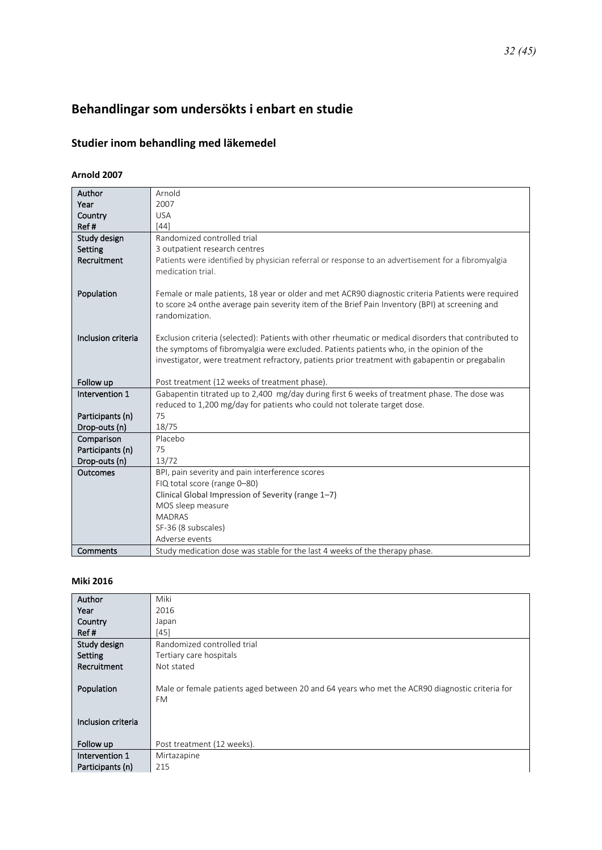# <span id="page-31-0"></span>**Behandlingar som undersökts i enbart en studie**

## <span id="page-31-1"></span>**Studier inom behandling med läkemedel**

#### **Arnold 2007**

| Author             | Arnold                                                                                                |
|--------------------|-------------------------------------------------------------------------------------------------------|
| Year               | 2007                                                                                                  |
| Country            | <b>USA</b>                                                                                            |
| Ref#               | $[44]$                                                                                                |
| Study design       | Randomized controlled trial                                                                           |
| Setting            | 3 outpatient research centres                                                                         |
| Recruitment        | Patients were identified by physician referral or response to an advertisement for a fibromyalgia     |
|                    | medication trial.                                                                                     |
|                    |                                                                                                       |
| Population         | Female or male patients, 18 year or older and met ACR90 diagnostic criteria Patients were required    |
|                    | to score $\geq 4$ onthe average pain severity item of the Brief Pain Inventory (BPI) at screening and |
|                    | randomization.                                                                                        |
|                    |                                                                                                       |
| Inclusion criteria | Exclusion criteria (selected): Patients with other rheumatic or medical disorders that contributed to |
|                    | the symptoms of fibromyalgia were excluded. Patients patients who, in the opinion of the              |
|                    | investigator, were treatment refractory, patients prior treatment with gabapentin or pregabalin       |
|                    |                                                                                                       |
| Follow up          | Post treatment (12 weeks of treatment phase).                                                         |
| Intervention 1     | Gabapentin titrated up to 2,400 mg/day during first 6 weeks of treatment phase. The dose was          |
|                    | reduced to 1,200 mg/day for patients who could not tolerate target dose.                              |
| Participants (n)   | 75                                                                                                    |
| Drop-outs (n)      | 18/75                                                                                                 |
| Comparison         | Placebo                                                                                               |
| Participants (n)   | 75                                                                                                    |
| Drop-outs (n)      | 13/72                                                                                                 |
| Outcomes           | BPI, pain severity and pain interference scores                                                       |
|                    | FIQ total score (range 0-80)                                                                          |
|                    | Clinical Global Impression of Severity (range 1-7)                                                    |
|                    | MOS sleep measure                                                                                     |
|                    | <b>MADRAS</b>                                                                                         |
|                    | SF-36 (8 subscales)                                                                                   |
|                    | Adverse events                                                                                        |
| Comments           | Study medication dose was stable for the last 4 weeks of the therapy phase.                           |

#### **Miki 2016**

| Author             | Miki                                                                                                        |
|--------------------|-------------------------------------------------------------------------------------------------------------|
| Year               | 2016                                                                                                        |
| Country            | Japan                                                                                                       |
| Ref#               | [45]                                                                                                        |
| Study design       | Randomized controlled trial                                                                                 |
| Setting            | Tertiary care hospitals                                                                                     |
| Recruitment        | Not stated                                                                                                  |
| Population         | Male or female patients aged between 20 and 64 years who met the ACR90 diagnostic criteria for<br><b>FM</b> |
| Inclusion criteria |                                                                                                             |
| Follow up          | Post treatment (12 weeks).                                                                                  |
| Intervention 1     | Mirtazapine                                                                                                 |
| Participants (n)   | 215                                                                                                         |
|                    |                                                                                                             |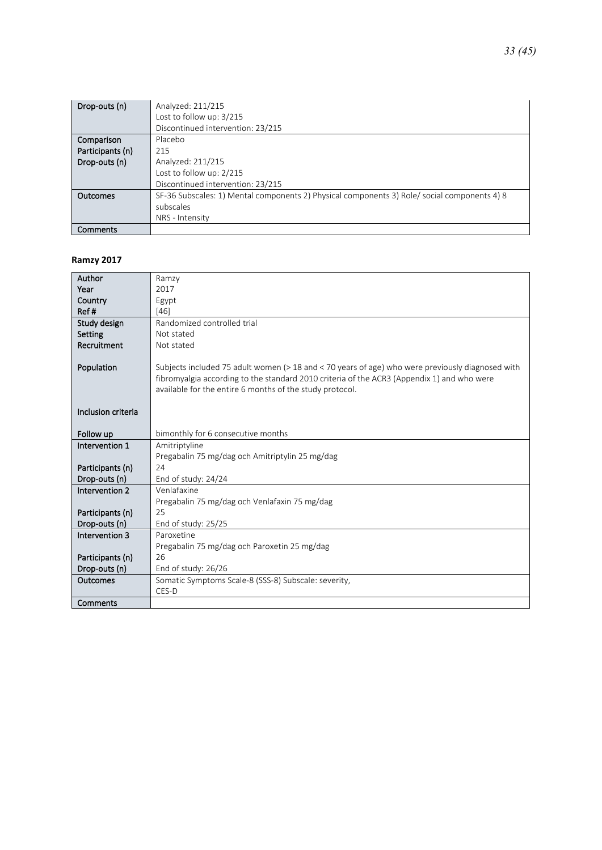| Drop-outs (n)    | Analyzed: 211/215                                                                           |
|------------------|---------------------------------------------------------------------------------------------|
|                  | Lost to follow up: 3/215                                                                    |
|                  | Discontinued intervention: 23/215                                                           |
| Comparison       | Placebo                                                                                     |
| Participants (n) | 215                                                                                         |
| Drop-outs (n)    | Analyzed: 211/215                                                                           |
|                  | Lost to follow up: 2/215                                                                    |
|                  | Discontinued intervention: 23/215                                                           |
| Outcomes         | SF-36 Subscales: 1) Mental components 2) Physical components 3) Role/social components 4) 8 |
|                  | subscales                                                                                   |
|                  | NRS - Intensity                                                                             |
| Comments         |                                                                                             |

#### **Ramzy 2017**

| Author             | Ramzy                                                                                            |
|--------------------|--------------------------------------------------------------------------------------------------|
| Year               | 2017                                                                                             |
| Country            | Egypt                                                                                            |
| Ref#               | $[46]$                                                                                           |
| Study design       | Randomized controlled trial                                                                      |
| Setting            | Not stated                                                                                       |
| Recruitment        | Not stated                                                                                       |
|                    |                                                                                                  |
| Population         | Subjects included 75 adult women (> 18 and < 70 years of age) who were previously diagnosed with |
|                    | fibromyalgia according to the standard 2010 criteria of the ACR3 (Appendix 1) and who were       |
|                    | available for the entire 6 months of the study protocol.                                         |
|                    |                                                                                                  |
| Inclusion criteria |                                                                                                  |
|                    |                                                                                                  |
| Follow up          | bimonthly for 6 consecutive months                                                               |
| Intervention 1     | Amitriptyline                                                                                    |
|                    | Pregabalin 75 mg/dag och Amitriptylin 25 mg/dag                                                  |
| Participants (n)   | 24                                                                                               |
| Drop-outs (n)      | End of study: 24/24                                                                              |
| Intervention 2     | Venlafaxine                                                                                      |
|                    | Pregabalin 75 mg/dag och Venlafaxin 75 mg/dag                                                    |
| Participants (n)   | 25                                                                                               |
| Drop-outs (n)      | End of study: 25/25                                                                              |
| Intervention 3     | Paroxetine                                                                                       |
|                    | Pregabalin 75 mg/dag och Paroxetin 25 mg/dag                                                     |
| Participants (n)   | 26                                                                                               |
| Drop-outs (n)      | End of study: 26/26                                                                              |
| <b>Outcomes</b>    | Somatic Symptoms Scale-8 (SSS-8) Subscale: severity,                                             |
|                    | CES-D                                                                                            |
| Comments           |                                                                                                  |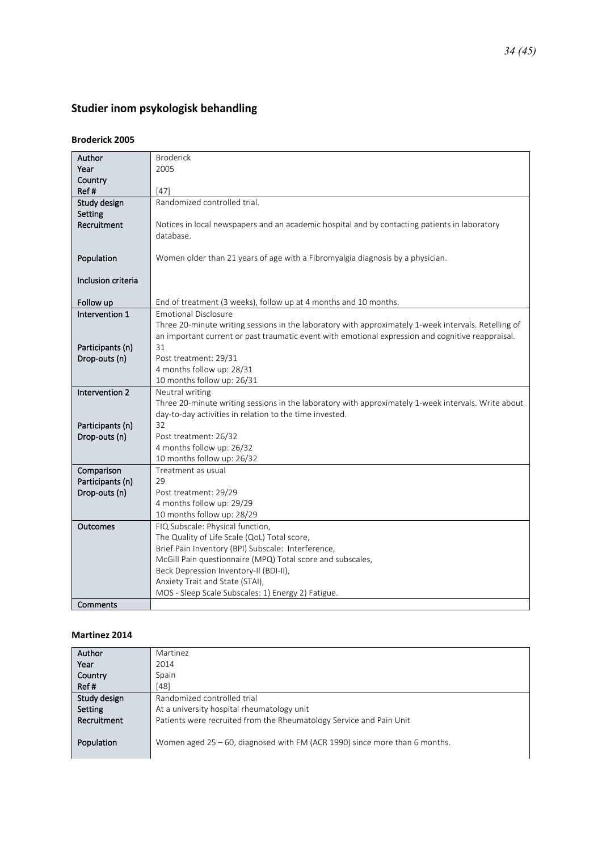## <span id="page-33-0"></span>Studier inom psykologisk behandling

#### **Broderick 2005**

| Author             | <b>Broderick</b>                                                                                     |
|--------------------|------------------------------------------------------------------------------------------------------|
| Year               | 2005                                                                                                 |
| Country            |                                                                                                      |
| Ref#               | $[47]$                                                                                               |
| Study design       | Randomized controlled trial.                                                                         |
| Setting            |                                                                                                      |
| Recruitment        | Notices in local newspapers and an academic hospital and by contacting patients in laboratory        |
|                    | database.                                                                                            |
|                    |                                                                                                      |
| Population         | Women older than 21 years of age with a Fibromyalgia diagnosis by a physician.                       |
|                    |                                                                                                      |
| Inclusion criteria |                                                                                                      |
|                    |                                                                                                      |
| Follow up          | End of treatment (3 weeks), follow up at 4 months and 10 months.                                     |
| Intervention 1     | <b>Emotional Disclosure</b>                                                                          |
|                    | Three 20-minute writing sessions in the laboratory with approximately 1-week intervals. Retelling of |
|                    | an important current or past traumatic event with emotional expression and cognitive reappraisal.    |
| Participants (n)   | 31                                                                                                   |
| Drop-outs (n)      | Post treatment: 29/31                                                                                |
|                    | 4 months follow up: 28/31                                                                            |
|                    | 10 months follow up: 26/31                                                                           |
| Intervention 2     | Neutral writing                                                                                      |
|                    | Three 20-minute writing sessions in the laboratory with approximately 1-week intervals. Write about  |
|                    | day-to-day activities in relation to the time invested.                                              |
| Participants (n)   | 32                                                                                                   |
| Drop-outs (n)      | Post treatment: 26/32                                                                                |
|                    | 4 months follow up: 26/32                                                                            |
|                    | 10 months follow up: 26/32                                                                           |
| Comparison         | Treatment as usual                                                                                   |
| Participants (n)   | 29                                                                                                   |
| Drop-outs (n)      | Post treatment: 29/29                                                                                |
|                    | 4 months follow up: 29/29                                                                            |
|                    | 10 months follow up: 28/29                                                                           |
| <b>Outcomes</b>    | FIQ Subscale: Physical function,                                                                     |
|                    | The Quality of Life Scale (QoL) Total score,                                                         |
|                    | Brief Pain Inventory (BPI) Subscale: Interference,                                                   |
|                    | McGill Pain questionnaire (MPQ) Total score and subscales,                                           |
|                    | Beck Depression Inventory-II (BDI-II),                                                               |
|                    | Anxiety Trait and State (STAI),                                                                      |
|                    | MOS - Sleep Scale Subscales: 1) Energy 2) Fatigue.                                                   |
| Comments           |                                                                                                      |

#### **Martinez 2014**

| Author       | Martinez                                                                      |
|--------------|-------------------------------------------------------------------------------|
| Year         | 2014                                                                          |
| Country      | Spain                                                                         |
| Ref#         | [48]                                                                          |
| Study design | Randomized controlled trial                                                   |
| Setting      | At a university hospital rheumatology unit                                    |
| Recruitment  | Patients were recruited from the Rheumatology Service and Pain Unit           |
| Population   | Women aged $25 - 60$ , diagnosed with FM (ACR 1990) since more than 6 months. |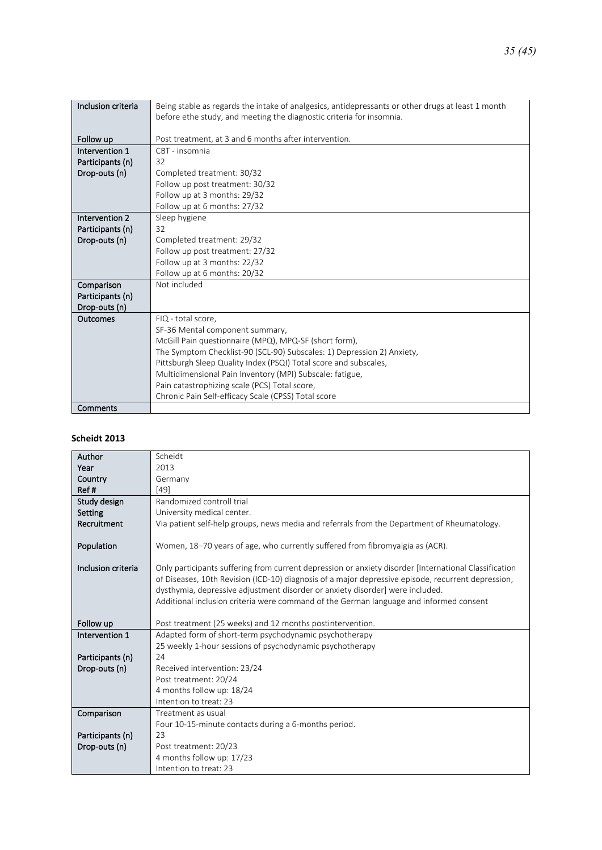| Inclusion criteria | Being stable as regards the intake of analgesics, antidepressants or other drugs at least 1 month<br>before ethe study, and meeting the diagnostic criteria for insomnia. |
|--------------------|---------------------------------------------------------------------------------------------------------------------------------------------------------------------------|
|                    |                                                                                                                                                                           |
| Follow up          | Post treatment, at 3 and 6 months after intervention.                                                                                                                     |
| Intervention 1     | CBT - insomnia                                                                                                                                                            |
| Participants (n)   | 32                                                                                                                                                                        |
| Drop-outs (n)      | Completed treatment: 30/32                                                                                                                                                |
|                    | Follow up post treatment: 30/32                                                                                                                                           |
|                    | Follow up at 3 months: 29/32                                                                                                                                              |
|                    | Follow up at 6 months: 27/32                                                                                                                                              |
| Intervention 2     | Sleep hygiene                                                                                                                                                             |
| Participants (n)   | 32                                                                                                                                                                        |
| Drop-outs (n)      | Completed treatment: 29/32                                                                                                                                                |
|                    | Follow up post treatment: 27/32                                                                                                                                           |
|                    | Follow up at 3 months: 22/32                                                                                                                                              |
|                    | Follow up at 6 months: 20/32                                                                                                                                              |
| Comparison         | Not included                                                                                                                                                              |
| Participants (n)   |                                                                                                                                                                           |
| Drop-outs (n)      |                                                                                                                                                                           |
| Outcomes           | FIQ - total score,                                                                                                                                                        |
|                    | SF-36 Mental component summary,                                                                                                                                           |
|                    | McGill Pain questionnaire (MPQ), MPQ-SF (short form),                                                                                                                     |
|                    | The Symptom Checklist-90 (SCL-90) Subscales: 1) Depression 2) Anxiety,                                                                                                    |
|                    | Pittsburgh Sleep Quality Index (PSQI) Total score and subscales,                                                                                                          |
|                    | Multidimensional Pain Inventory (MPI) Subscale: fatigue,                                                                                                                  |
|                    | Pain catastrophizing scale (PCS) Total score,                                                                                                                             |
|                    | Chronic Pain Self-efficacy Scale (CPSS) Total score                                                                                                                       |
| Comments           |                                                                                                                                                                           |

#### **Scheidt 2013**

| Author             | Scheidt                                                                                               |
|--------------------|-------------------------------------------------------------------------------------------------------|
| Year               | 2013                                                                                                  |
| Country            | Germany                                                                                               |
| Ref#               | [49]                                                                                                  |
| Study design       | Randomized controll trial                                                                             |
| Setting            | University medical center.                                                                            |
| Recruitment        | Via patient self-help groups, news media and referrals from the Department of Rheumatology.           |
|                    |                                                                                                       |
| Population         | Women, 18-70 years of age, who currently suffered from fibromyalgia as (ACR).                         |
|                    |                                                                                                       |
| Inclusion criteria | Only participants suffering from current depression or anxiety disorder [International Classification |
|                    | of Diseases, 10th Revision (ICD-10) diagnosis of a major depressive episode, recurrent depression,    |
|                    | dysthymia, depressive adjustment disorder or anxiety disorder] were included.                         |
|                    | Additional inclusion criteria were command of the German language and informed consent                |
|                    |                                                                                                       |
| Follow up          | Post treatment (25 weeks) and 12 months postintervention.                                             |
| Intervention 1     | Adapted form of short-term psychodynamic psychotherapy                                                |
|                    | 25 weekly 1-hour sessions of psychodynamic psychotherapy                                              |
| Participants (n)   | 24                                                                                                    |
| Drop-outs (n)      | Received intervention: 23/24                                                                          |
|                    | Post treatment: 20/24                                                                                 |
|                    | 4 months follow up: 18/24                                                                             |
|                    | Intention to treat: 23                                                                                |
| Comparison         | Treatment as usual                                                                                    |
|                    | Four 10-15-minute contacts during a 6-months period.                                                  |
| Participants (n)   | 23                                                                                                    |
| Drop-outs (n)      | Post treatment: 20/23                                                                                 |
|                    | 4 months follow up: 17/23                                                                             |
|                    | Intention to treat: 23                                                                                |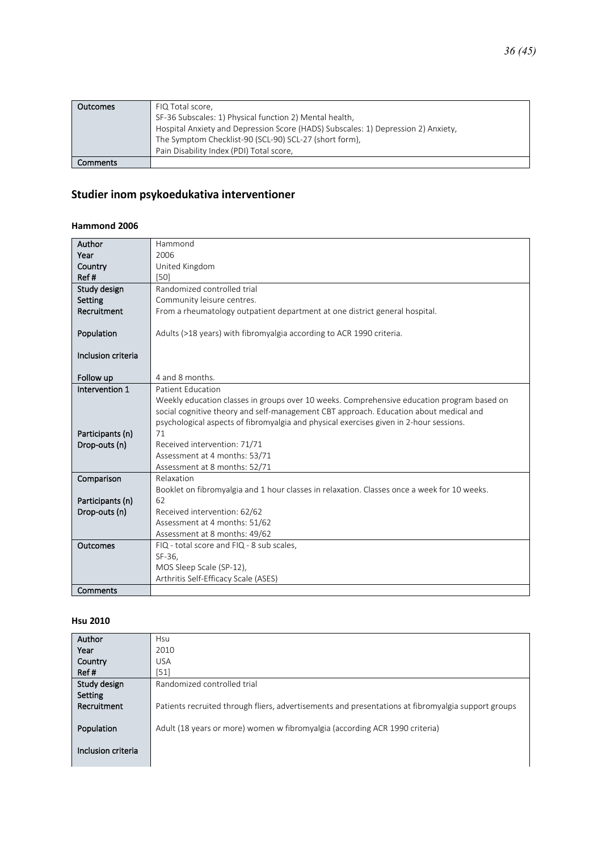| <b>Outcomes</b> | FIQ Total score,                                                                  |
|-----------------|-----------------------------------------------------------------------------------|
|                 | SF-36 Subscales: 1) Physical function 2) Mental health,                           |
|                 | Hospital Anxiety and Depression Score (HADS) Subscales: 1) Depression 2) Anxiety, |
|                 | The Symptom Checklist-90 (SCL-90) SCL-27 (short form),                            |
|                 | Pain Disability Index (PDI) Total score,                                          |
| Comments        |                                                                                   |

### <span id="page-35-0"></span>Studier inom psykoedukativa interventioner

#### **Hammond 2006**

| Author             | Hammond                                                                                     |
|--------------------|---------------------------------------------------------------------------------------------|
| Year               | 2006                                                                                        |
| Country            | United Kingdom                                                                              |
| Ref#               | [50]                                                                                        |
| Study design       | Randomized controlled trial                                                                 |
| Setting            | Community leisure centres.                                                                  |
| Recruitment        | From a rheumatology outpatient department at one district general hospital.                 |
| Population         | Adults (>18 years) with fibromyalgia according to ACR 1990 criteria.                        |
|                    |                                                                                             |
| Inclusion criteria |                                                                                             |
|                    |                                                                                             |
| Follow up          | 4 and 8 months.                                                                             |
| Intervention 1     | Patient Education                                                                           |
|                    | Weekly education classes in groups over 10 weeks. Comprehensive education program based on  |
|                    | social cognitive theory and self-management CBT approach. Education about medical and       |
|                    | psychological aspects of fibromyalgia and physical exercises given in 2-hour sessions.      |
| Participants (n)   | 71                                                                                          |
| Drop-outs (n)      | Received intervention: 71/71                                                                |
|                    | Assessment at 4 months: 53/71                                                               |
|                    | Assessment at 8 months: 52/71                                                               |
| Comparison         | Relaxation                                                                                  |
|                    | Booklet on fibromyalgia and 1 hour classes in relaxation. Classes once a week for 10 weeks. |
| Participants (n)   | 62                                                                                          |
| Drop-outs (n)      | Received intervention: 62/62                                                                |
|                    | Assessment at 4 months: 51/62                                                               |
|                    | Assessment at 8 months: 49/62                                                               |
| Outcomes           | FIQ - total score and FIQ - 8 sub scales,                                                   |
|                    | SF-36,                                                                                      |
|                    | MOS Sleep Scale (SP-12),                                                                    |
|                    | Arthritis Self-Efficacy Scale (ASES)                                                        |
| Comments           |                                                                                             |

#### **Hsu 2010**

| Author             | Hsu                                                                                                |
|--------------------|----------------------------------------------------------------------------------------------------|
| Year               | 2010                                                                                               |
| Country            | <b>USA</b>                                                                                         |
| Ref#               | $[51]$                                                                                             |
| Study design       | Randomized controlled trial                                                                        |
| Setting            |                                                                                                    |
| Recruitment        | Patients recruited through fliers, advertisements and presentations at fibromyalgia support groups |
|                    |                                                                                                    |
| Population         | Adult (18 years or more) women w fibromyalgia (according ACR 1990 criteria)                        |
|                    |                                                                                                    |
| Inclusion criteria |                                                                                                    |
|                    |                                                                                                    |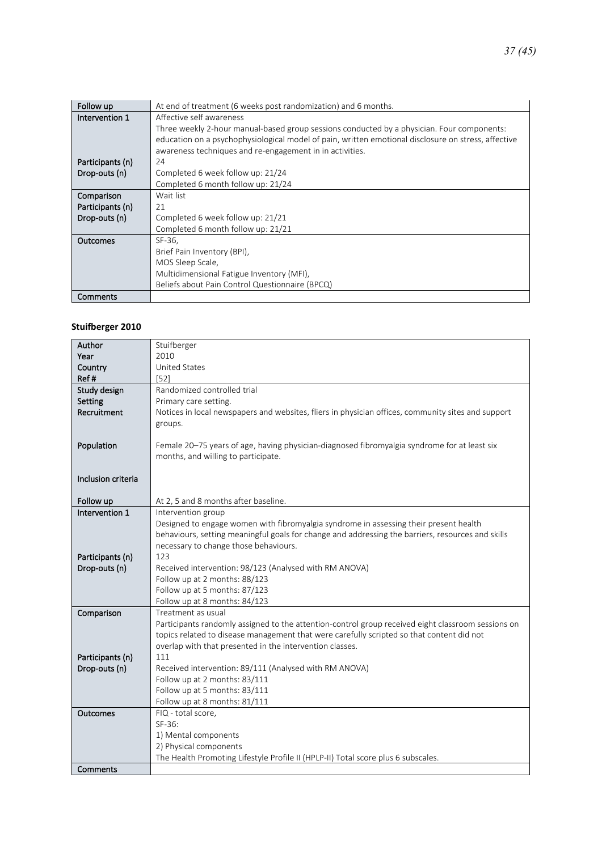| Follow up        | At end of treatment (6 weeks post randomization) and 6 months.                                      |
|------------------|-----------------------------------------------------------------------------------------------------|
| Intervention 1   | Affective self awareness                                                                            |
|                  | Three weekly 2-hour manual-based group sessions conducted by a physician. Four components:          |
|                  | education on a psychophysiological model of pain, written emotional disclosure on stress, affective |
|                  | awareness techniques and re-engagement in in activities.                                            |
| Participants (n) | 24                                                                                                  |
| Drop-outs (n)    | Completed 6 week follow up: 21/24                                                                   |
|                  | Completed 6 month follow up: 21/24                                                                  |
| Comparison       | Wait list                                                                                           |
| Participants (n) | 21                                                                                                  |
| Drop-outs (n)    | Completed 6 week follow up: 21/21                                                                   |
|                  | Completed 6 month follow up: 21/21                                                                  |
| Outcomes         | SF-36.                                                                                              |
|                  | Brief Pain Inventory (BPI),                                                                         |
|                  | MOS Sleep Scale,                                                                                    |
|                  | Multidimensional Fatigue Inventory (MFI),                                                           |
|                  | Beliefs about Pain Control Questionnaire (BPCQ)                                                     |
| Comments         |                                                                                                     |

#### **Stuifberger 2010**

| Author             | Stuifberger                                                                                        |
|--------------------|----------------------------------------------------------------------------------------------------|
| Year               | 2010                                                                                               |
| Country            | <b>United States</b>                                                                               |
| Ref#               | [52]                                                                                               |
| Study design       | Randomized controlled trial                                                                        |
| Setting            | Primary care setting.                                                                              |
| Recruitment        | Notices in local newspapers and websites, fliers in physician offices, community sites and support |
|                    | groups.                                                                                            |
|                    |                                                                                                    |
| Population         | Female 20-75 years of age, having physician-diagnosed fibromyalgia syndrome for at least six       |
|                    | months, and willing to participate.                                                                |
|                    |                                                                                                    |
| Inclusion criteria |                                                                                                    |
|                    |                                                                                                    |
| Follow up          | At 2, 5 and 8 months after baseline.                                                               |
| Intervention 1     | Intervention group                                                                                 |
|                    | Designed to engage women with fibromyalgia syndrome in assessing their present health              |
|                    | behaviours, setting meaningful goals for change and addressing the barriers, resources and skills  |
|                    | necessary to change those behaviours.                                                              |
| Participants (n)   | 123                                                                                                |
| Drop-outs (n)      | Received intervention: 98/123 (Analysed with RM ANOVA)                                             |
|                    | Follow up at 2 months: 88/123                                                                      |
|                    | Follow up at 5 months: 87/123                                                                      |
|                    | Follow up at 8 months: 84/123                                                                      |
| Comparison         | Treatment as usual                                                                                 |
|                    | Participants randomly assigned to the attention-control group received eight classroom sessions on |
|                    | topics related to disease management that were carefully scripted so that content did not          |
|                    | overlap with that presented in the intervention classes.                                           |
| Participants (n)   | 111                                                                                                |
| Drop-outs (n)      | Received intervention: 89/111 (Analysed with RM ANOVA)                                             |
|                    | Follow up at 2 months: 83/111                                                                      |
|                    | Follow up at 5 months: 83/111                                                                      |
|                    | Follow up at 8 months: 81/111                                                                      |
| <b>Outcomes</b>    | FIQ - total score,<br>SF-36:                                                                       |
|                    |                                                                                                    |
|                    | 1) Mental components<br>2) Physical components                                                     |
|                    | The Health Promoting Lifestyle Profile II (HPLP-II) Total score plus 6 subscales.                  |
| Comments           |                                                                                                    |
|                    |                                                                                                    |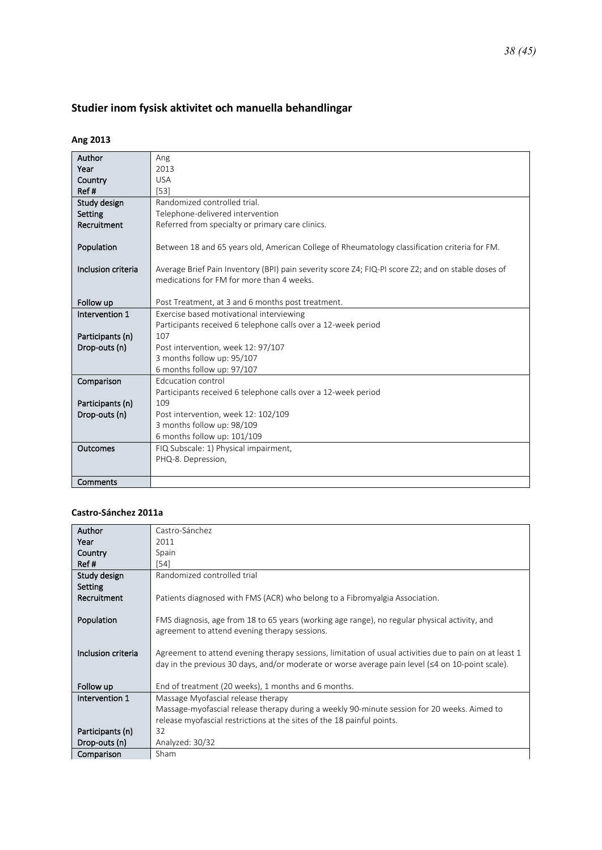### *38 (45)*

## <span id="page-37-0"></span>**Studier inom fysisk aktivitet och manuella behandlingar**

### **Ang 2013**

| Author             | Ang                                                                                                |
|--------------------|----------------------------------------------------------------------------------------------------|
| Year               | 2013                                                                                               |
| Country            | <b>USA</b>                                                                                         |
| Ref#               | [53]                                                                                               |
| Study design       | Randomized controlled trial.                                                                       |
| Setting            | Telephone-delivered intervention                                                                   |
| Recruitment        | Referred from specialty or primary care clinics.                                                   |
|                    |                                                                                                    |
| Population         | Between 18 and 65 years old, American College of Rheumatology classification criteria for FM.      |
|                    |                                                                                                    |
| Inclusion criteria | Average Brief Pain Inventory (BPI) pain severity score Z4; FIQ-PI score Z2; and on stable doses of |
|                    | medications for FM for more than 4 weeks.                                                          |
|                    |                                                                                                    |
| Follow up          | Post Treatment, at 3 and 6 months post treatment.                                                  |
| Intervention 1     | Exercise based motivational interviewing                                                           |
|                    | Participants received 6 telephone calls over a 12-week period                                      |
| Participants (n)   | 107                                                                                                |
| Drop-outs (n)      | Post intervention, week 12: 97/107                                                                 |
|                    | 3 months follow up: 95/107                                                                         |
|                    | 6 months follow up: 97/107                                                                         |
| Comparison         | Edcucation control                                                                                 |
|                    | Participants received 6 telephone calls over a 12-week period                                      |
| Participants (n)   | 109                                                                                                |
| Drop-outs (n)      | Post intervention, week 12: 102/109                                                                |
|                    | 3 months follow up: 98/109                                                                         |
|                    | 6 months follow up: 101/109                                                                        |
| Outcomes           | FIQ Subscale: 1) Physical impairment,                                                              |
|                    | PHQ-8. Depression,                                                                                 |
|                    |                                                                                                    |
| Comments           |                                                                                                    |

#### **Castro-Sánchez 2011a**

| Author             | Castro-Sánchez                                                                                          |
|--------------------|---------------------------------------------------------------------------------------------------------|
| Year               | 2011                                                                                                    |
|                    |                                                                                                         |
| Country            | Spain                                                                                                   |
| Ref#               | [54]                                                                                                    |
| Study design       | Randomized controlled trial                                                                             |
| Setting            |                                                                                                         |
| Recruitment        | Patients diagnosed with FMS (ACR) who belong to a Fibromyalgia Association.                             |
|                    |                                                                                                         |
|                    |                                                                                                         |
| Population         | FMS diagnosis, age from 18 to 65 years (working age range), no regular physical activity, and           |
|                    | agreement to attend evening therapy sessions.                                                           |
|                    |                                                                                                         |
| Inclusion criteria | Agreement to attend evening therapy sessions, limitation of usual activities due to pain on at least 1  |
|                    | day in the previous 30 days, and/or moderate or worse average pain level ( $\leq 4$ on 10-point scale). |
|                    |                                                                                                         |
| Follow up          | End of treatment (20 weeks), 1 months and 6 months.                                                     |
| Intervention 1     | Massage Myofascial release therapy                                                                      |
|                    | Massage-myofascial release therapy during a weekly 90-minute session for 20 weeks. Aimed to             |
|                    | release myofascial restrictions at the sites of the 18 painful points.                                  |
| Participants (n)   | 32                                                                                                      |
|                    |                                                                                                         |
| Drop-outs (n)      | Analyzed: 30/32                                                                                         |
| Comparison         | Sham                                                                                                    |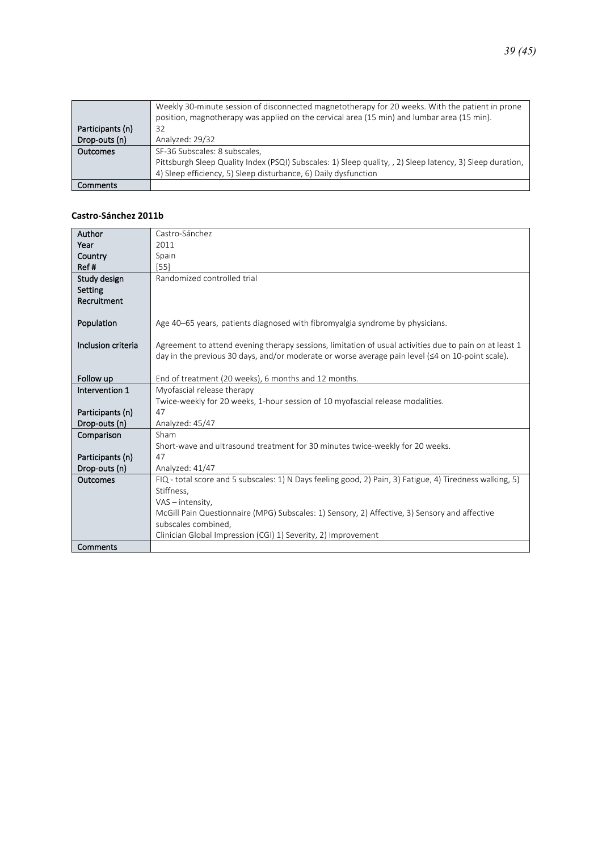|                  | Weekly 30-minute session of disconnected magnetotherapy for 20 weeks. With the patient in prone<br>position, magnotherapy was applied on the cervical area (15 min) and lumbar area (15 min). |
|------------------|-----------------------------------------------------------------------------------------------------------------------------------------------------------------------------------------------|
| Participants (n) | 32                                                                                                                                                                                            |
| Drop-outs (n)    | Analyzed: 29/32                                                                                                                                                                               |
| <b>Outcomes</b>  | SF-36 Subscales: 8 subscales,                                                                                                                                                                 |
|                  | Pittsburgh Sleep Quality Index (PSQI) Subscales: 1) Sleep quality, 2) Sleep latency, 3) Sleep duration,                                                                                       |
|                  | 4) Sleep efficiency, 5) Sleep disturbance, 6) Daily dysfunction                                                                                                                               |
| Comments         |                                                                                                                                                                                               |

#### **Castro-Sánchez 2011b**

| Author             | Castro-Sánchez                                                                                           |
|--------------------|----------------------------------------------------------------------------------------------------------|
| Year               | 2011                                                                                                     |
| Country            | Spain                                                                                                    |
| Ref#               | [55]                                                                                                     |
| Study design       | Randomized controlled trial                                                                              |
| Setting            |                                                                                                          |
| Recruitment        |                                                                                                          |
|                    |                                                                                                          |
| Population         | Age 40–65 years, patients diagnosed with fibromyalgia syndrome by physicians.                            |
|                    |                                                                                                          |
| Inclusion criteria | Agreement to attend evening therapy sessions, limitation of usual activities due to pain on at least 1   |
|                    | day in the previous 30 days, and/or moderate or worse average pain level $(\leq 4$ on 10-point scale).   |
|                    |                                                                                                          |
| Follow up          | End of treatment (20 weeks), 6 months and 12 months.                                                     |
| Intervention 1     | Myofascial release therapy                                                                               |
|                    | Twice-weekly for 20 weeks, 1-hour session of 10 myofascial release modalities.                           |
| Participants (n)   | 47                                                                                                       |
| Drop-outs (n)      | Analyzed: 45/47                                                                                          |
| Comparison         | Sham                                                                                                     |
|                    | Short-wave and ultrasound treatment for 30 minutes twice-weekly for 20 weeks.                            |
| Participants (n)   | 47                                                                                                       |
| Drop-outs (n)      | Analyzed: 41/47                                                                                          |
| Outcomes           | FIQ - total score and 5 subscales: 1) N Days feeling good, 2) Pain, 3) Fatigue, 4) Tiredness walking, 5) |
|                    | Stiffness,                                                                                               |
|                    | VAS - intensity,                                                                                         |
|                    | McGill Pain Questionnaire (MPG) Subscales: 1) Sensory, 2) Affective, 3) Sensory and affective            |
|                    | subscales combined,                                                                                      |
|                    | Clinician Global Impression (CGI) 1) Severity, 2) Improvement                                            |
| Comments           |                                                                                                          |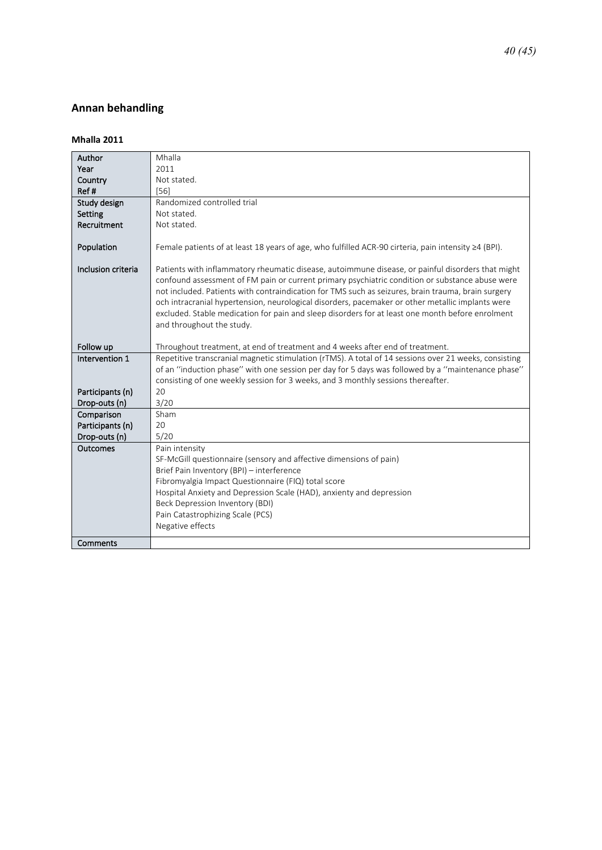### <span id="page-39-0"></span>**Annan behandling**

#### **Mhalla 2011**

| Author             | Mhalla                                                                                                     |
|--------------------|------------------------------------------------------------------------------------------------------------|
| Year               | 2011                                                                                                       |
| Country            | Not stated.                                                                                                |
| Ref#               | [56]                                                                                                       |
| Study design       | Randomized controlled trial                                                                                |
| Setting            | Not stated.                                                                                                |
| Recruitment        | Not stated.                                                                                                |
|                    |                                                                                                            |
| Population         | Female patients of at least 18 years of age, who fulfilled ACR-90 cirteria, pain intensity $\geq 4$ (BPI). |
|                    |                                                                                                            |
| Inclusion criteria | Patients with inflammatory rheumatic disease, autoimmune disease, or painful disorders that might          |
|                    | confound assessment of FM pain or current primary psychiatric condition or substance abuse were            |
|                    | not included. Patients with contraindication for TMS such as seizures, brain trauma, brain surgery         |
|                    | och intracranial hypertension, neurological disorders, pacemaker or other metallic implants were           |
|                    | excluded. Stable medication for pain and sleep disorders for at least one month before enrolment           |
|                    | and throughout the study.                                                                                  |
| Follow up          | Throughout treatment, at end of treatment and 4 weeks after end of treatment.                              |
| Intervention 1     | Repetitive transcranial magnetic stimulation (rTMS). A total of 14 sessions over 21 weeks, consisting      |
|                    | of an "induction phase" with one session per day for 5 days was followed by a "maintenance phase"          |
|                    | consisting of one weekly session for 3 weeks, and 3 monthly sessions thereafter.                           |
| Participants (n)   | 20                                                                                                         |
| Drop-outs (n)      | 3/20                                                                                                       |
| Comparison         | Sham                                                                                                       |
| Participants (n)   | 20                                                                                                         |
| Drop-outs (n)      | 5/20                                                                                                       |
| <b>Outcomes</b>    | Pain intensity                                                                                             |
|                    | SF-McGill questionnaire (sensory and affective dimensions of pain)                                         |
|                    | Brief Pain Inventory (BPI) - interference                                                                  |
|                    | Fibromyalgia Impact Questionnaire (FIQ) total score                                                        |
|                    | Hospital Anxiety and Depression Scale (HAD), anxienty and depression                                       |
|                    | Beck Depression Inventory (BDI)                                                                            |
|                    | Pain Catastrophizing Scale (PCS)                                                                           |
|                    | Negative effects                                                                                           |
| Comments           |                                                                                                            |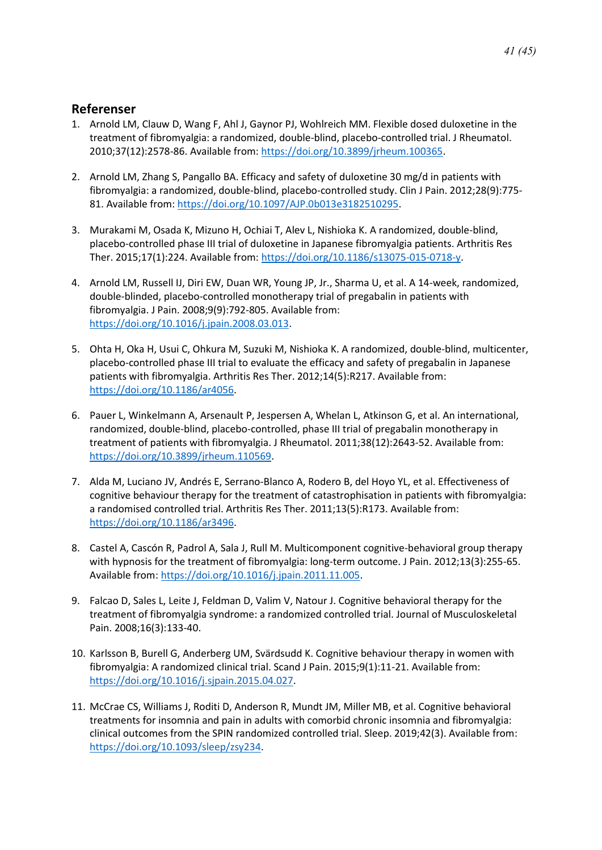### <span id="page-40-0"></span>**Referenser**

- 1. Arnold LM, Clauw D, Wang F, Ahl J, Gaynor PJ, Wohlreich MM. Flexible dosed duloxetine in the treatment of fibromyalgia: a randomized, double-blind, placebo-controlled trial. J Rheumatol. 2010;37(12):2578-86. Available from: [https://doi.org/10.3899/jrheum.100365.](https://doi.org/10.3899/jrheum.100365)
- 2. Arnold LM, Zhang S, Pangallo BA. Efficacy and safety of duloxetine 30 mg/d in patients with fibromyalgia: a randomized, double-blind, placebo-controlled study. Clin J Pain. 2012;28(9):775- 81. Available from[: https://doi.org/10.1097/AJP.0b013e3182510295.](https://doi.org/10.1097/AJP.0b013e3182510295)
- 3. Murakami M, Osada K, Mizuno H, Ochiai T, Alev L, Nishioka K. A randomized, double-blind, placebo-controlled phase III trial of duloxetine in Japanese fibromyalgia patients. Arthritis Res Ther. 2015;17(1):224. Available from: [https://doi.org/10.1186/s13075-015-0718-y.](https://doi.org/10.1186/s13075-015-0718-y)
- 4. Arnold LM, Russell IJ, Diri EW, Duan WR, Young JP, Jr., Sharma U, et al. A 14-week, randomized, double-blinded, placebo-controlled monotherapy trial of pregabalin in patients with fibromyalgia. J Pain. 2008;9(9):792-805. Available from: [https://doi.org/10.1016/j.jpain.2008.03.013.](https://doi.org/10.1016/j.jpain.2008.03.013)
- 5. Ohta H, Oka H, Usui C, Ohkura M, Suzuki M, Nishioka K. A randomized, double-blind, multicenter, placebo-controlled phase III trial to evaluate the efficacy and safety of pregabalin in Japanese patients with fibromyalgia. Arthritis Res Ther. 2012;14(5):R217. Available from: [https://doi.org/10.1186/ar4056.](https://doi.org/10.1186/ar4056)
- 6. Pauer L, Winkelmann A, Arsenault P, Jespersen A, Whelan L, Atkinson G, et al. An international, randomized, double-blind, placebo-controlled, phase III trial of pregabalin monotherapy in treatment of patients with fibromyalgia. J Rheumatol. 2011;38(12):2643-52. Available from: [https://doi.org/10.3899/jrheum.110569.](https://doi.org/10.3899/jrheum.110569)
- 7. Alda M, Luciano JV, Andrés E, Serrano-Blanco A, Rodero B, del Hoyo YL, et al. Effectiveness of cognitive behaviour therapy for the treatment of catastrophisation in patients with fibromyalgia: a randomised controlled trial. Arthritis Res Ther. 2011;13(5):R173. Available from: [https://doi.org/10.1186/ar3496.](https://doi.org/10.1186/ar3496)
- 8. Castel A, Cascón R, Padrol A, Sala J, Rull M. Multicomponent cognitive-behavioral group therapy with hypnosis for the treatment of fibromyalgia: long-term outcome. J Pain. 2012;13(3):255-65. Available from: [https://doi.org/10.1016/j.jpain.2011.11.005.](https://doi.org/10.1016/j.jpain.2011.11.005)
- 9. Falcao D, Sales L, Leite J, Feldman D, Valim V, Natour J. Cognitive behavioral therapy for the treatment of fibromyalgia syndrome: a randomized controlled trial. Journal of Musculoskeletal Pain. 2008;16(3):133-40.
- 10. Karlsson B, Burell G, Anderberg UM, Svärdsudd K. Cognitive behaviour therapy in women with fibromyalgia: A randomized clinical trial. Scand J Pain. 2015;9(1):11-21. Available from: [https://doi.org/10.1016/j.sjpain.2015.04.027.](https://doi.org/10.1016/j.sjpain.2015.04.027)
- 11. McCrae CS, Williams J, Roditi D, Anderson R, Mundt JM, Miller MB, et al. Cognitive behavioral treatments for insomnia and pain in adults with comorbid chronic insomnia and fibromyalgia: clinical outcomes from the SPIN randomized controlled trial. Sleep. 2019;42(3). Available from: [https://doi.org/10.1093/sleep/zsy234.](https://doi.org/10.1093/sleep/zsy234)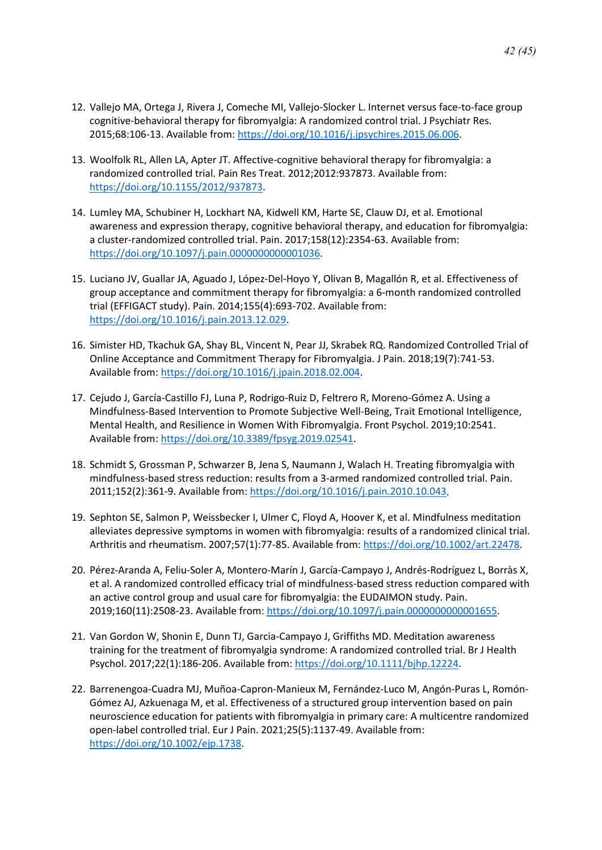- 12. Vallejo MA, Ortega J, Rivera J, Comeche MI, Vallejo-Slocker L. Internet versus face-to-face group cognitive-behavioral therapy for fibromyalgia: A randomized control trial. J Psychiatr Res. 2015;68:106-13. Available from: [https://doi.org/10.1016/j.jpsychires.2015.06.006.](https://doi.org/10.1016/j.jpsychires.2015.06.006)
- 13. Woolfolk RL, Allen LA, Apter JT. Affective-cognitive behavioral therapy for fibromyalgia: a randomized controlled trial. Pain Res Treat. 2012;2012:937873. Available from: [https://doi.org/10.1155/2012/937873.](https://doi.org/10.1155/2012/937873)
- 14. Lumley MA, Schubiner H, Lockhart NA, Kidwell KM, Harte SE, Clauw DJ, et al. Emotional awareness and expression therapy, cognitive behavioral therapy, and education for fibromyalgia: a cluster-randomized controlled trial. Pain. 2017;158(12):2354-63. Available from: [https://doi.org/10.1097/j.pain.0000000000001036.](https://doi.org/10.1097/j.pain.0000000000001036)
- 15. Luciano JV, Guallar JA, Aguado J, López-Del-Hoyo Y, Olivan B, Magallón R, et al. Effectiveness of group acceptance and commitment therapy for fibromyalgia: a 6-month randomized controlled trial (EFFIGACT study). Pain. 2014;155(4):693-702. Available from: [https://doi.org/10.1016/j.pain.2013.12.029.](https://doi.org/10.1016/j.pain.2013.12.029)
- 16. Simister HD, Tkachuk GA, Shay BL, Vincent N, Pear JJ, Skrabek RQ. Randomized Controlled Trial of Online Acceptance and Commitment Therapy for Fibromyalgia. J Pain. 2018;19(7):741-53. Available from: [https://doi.org/10.1016/j.jpain.2018.02.004.](https://doi.org/10.1016/j.jpain.2018.02.004)
- 17. Cejudo J, García-Castillo FJ, Luna P, Rodrigo-Ruiz D, Feltrero R, Moreno-Gómez A. Using a Mindfulness-Based Intervention to Promote Subjective Well-Being, Trait Emotional Intelligence, Mental Health, and Resilience in Women With Fibromyalgia. Front Psychol. 2019;10:2541. Available from: [https://doi.org/10.3389/fpsyg.2019.02541.](https://doi.org/10.3389/fpsyg.2019.02541)
- 18. Schmidt S, Grossman P, Schwarzer B, Jena S, Naumann J, Walach H. Treating fibromyalgia with mindfulness-based stress reduction: results from a 3-armed randomized controlled trial. Pain. 2011;152(2):361-9. Available from: [https://doi.org/10.1016/j.pain.2010.10.043.](https://doi.org/10.1016/j.pain.2010.10.043)
- 19. Sephton SE, Salmon P, Weissbecker I, Ulmer C, Floyd A, Hoover K, et al. Mindfulness meditation alleviates depressive symptoms in women with fibromyalgia: results of a randomized clinical trial. Arthritis and rheumatism. 2007;57(1):77-85. Available from: [https://doi.org/10.1002/art.22478.](https://doi.org/10.1002/art.22478)
- 20. Pérez-Aranda A, Feliu-Soler A, Montero-Marín J, García-Campayo J, Andrés-Rodríguez L, Borràs X, et al. A randomized controlled efficacy trial of mindfulness-based stress reduction compared with an active control group and usual care for fibromyalgia: the EUDAIMON study. Pain. 2019;160(11):2508-23. Available from: [https://doi.org/10.1097/j.pain.0000000000001655.](https://doi.org/10.1097/j.pain.0000000000001655)
- 21. Van Gordon W, Shonin E, Dunn TJ, Garcia-Campayo J, Griffiths MD. Meditation awareness training for the treatment of fibromyalgia syndrome: A randomized controlled trial. Br J Health Psychol. 2017;22(1):186-206. Available from[: https://doi.org/10.1111/bjhp.12224.](https://doi.org/10.1111/bjhp.12224)
- 22. Barrenengoa-Cuadra MJ, Muñoa-Capron-Manieux M, Fernández-Luco M, Angón-Puras L, Romón-Gómez AJ, Azkuenaga M, et al. Effectiveness of a structured group intervention based on pain neuroscience education for patients with fibromyalgia in primary care: A multicentre randomized open-label controlled trial. Eur J Pain. 2021;25(5):1137-49. Available from: [https://doi.org/10.1002/ejp.1738.](https://doi.org/10.1002/ejp.1738)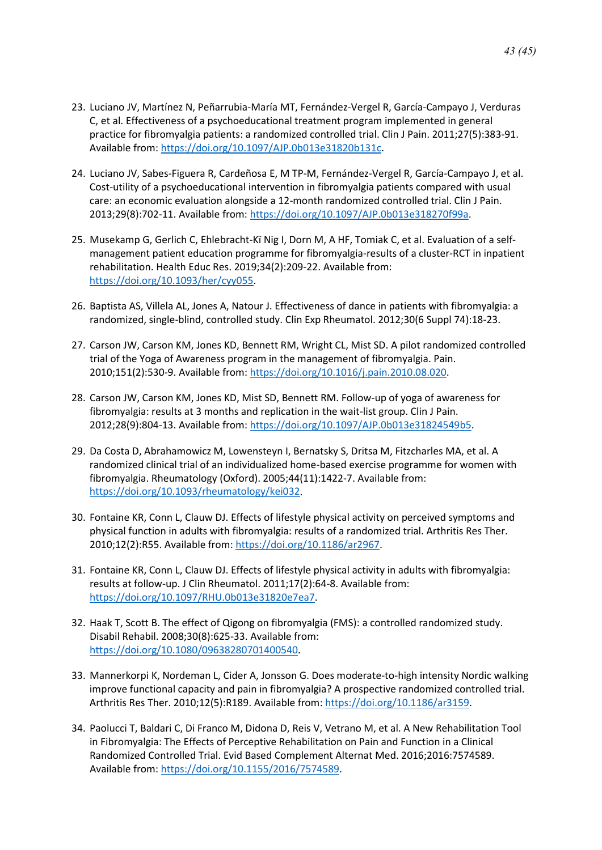- 23. Luciano JV, Martínez N, Peñarrubia-María MT, Fernández-Vergel R, García-Campayo J, Verduras C, et al. Effectiveness of a psychoeducational treatment program implemented in general practice for fibromyalgia patients: a randomized controlled trial. Clin J Pain. 2011;27(5):383-91. Available from: [https://doi.org/10.1097/AJP.0b013e31820b131c.](https://doi.org/10.1097/AJP.0b013e31820b131c)
- 24. Luciano JV, Sabes-Figuera R, Cardeñosa E, M TP-M, Fernández-Vergel R, García-Campayo J, et al. Cost-utility of a psychoeducational intervention in fibromyalgia patients compared with usual care: an economic evaluation alongside a 12-month randomized controlled trial. Clin J Pain. 2013;29(8):702-11. Available from: [https://doi.org/10.1097/AJP.0b013e318270f99a.](https://doi.org/10.1097/AJP.0b013e318270f99a)
- 25. Musekamp G, Gerlich C, Ehlebracht-Kï Nig I, Dorn M, A HF, Tomiak C, et al. Evaluation of a selfmanagement patient education programme for fibromyalgia-results of a cluster-RCT in inpatient rehabilitation. Health Educ Res. 2019;34(2):209-22. Available from: [https://doi.org/10.1093/her/cyy055.](https://doi.org/10.1093/her/cyy055)
- 26. Baptista AS, Villela AL, Jones A, Natour J. Effectiveness of dance in patients with fibromyalgia: a randomized, single-blind, controlled study. Clin Exp Rheumatol. 2012;30(6 Suppl 74):18-23.
- 27. Carson JW, Carson KM, Jones KD, Bennett RM, Wright CL, Mist SD. A pilot randomized controlled trial of the Yoga of Awareness program in the management of fibromyalgia. Pain. 2010;151(2):530-9. Available from: [https://doi.org/10.1016/j.pain.2010.08.020.](https://doi.org/10.1016/j.pain.2010.08.020)
- 28. Carson JW, Carson KM, Jones KD, Mist SD, Bennett RM. Follow-up of yoga of awareness for fibromyalgia: results at 3 months and replication in the wait-list group. Clin J Pain. 2012;28(9):804-13. Available from: [https://doi.org/10.1097/AJP.0b013e31824549b5.](https://doi.org/10.1097/AJP.0b013e31824549b5)
- 29. Da Costa D, Abrahamowicz M, Lowensteyn I, Bernatsky S, Dritsa M, Fitzcharles MA, et al. A randomized clinical trial of an individualized home-based exercise programme for women with fibromyalgia. Rheumatology (Oxford). 2005;44(11):1422-7. Available from: [https://doi.org/10.1093/rheumatology/kei032.](https://doi.org/10.1093/rheumatology/kei032)
- 30. Fontaine KR, Conn L, Clauw DJ. Effects of lifestyle physical activity on perceived symptoms and physical function in adults with fibromyalgia: results of a randomized trial. Arthritis Res Ther. 2010;12(2):R55. Available from: [https://doi.org/10.1186/ar2967.](https://doi.org/10.1186/ar2967)
- 31. Fontaine KR, Conn L, Clauw DJ. Effects of lifestyle physical activity in adults with fibromyalgia: results at follow-up. J Clin Rheumatol. 2011;17(2):64-8. Available from: [https://doi.org/10.1097/RHU.0b013e31820e7ea7.](https://doi.org/10.1097/RHU.0b013e31820e7ea7)
- 32. Haak T, Scott B. The effect of Qigong on fibromyalgia (FMS): a controlled randomized study. Disabil Rehabil. 2008;30(8):625-33. Available from: [https://doi.org/10.1080/09638280701400540.](https://doi.org/10.1080/09638280701400540)
- 33. Mannerkorpi K, Nordeman L, Cider A, Jonsson G. Does moderate-to-high intensity Nordic walking improve functional capacity and pain in fibromyalgia? A prospective randomized controlled trial. Arthritis Res Ther. 2010;12(5):R189. Available from[: https://doi.org/10.1186/ar3159.](https://doi.org/10.1186/ar3159)
- 34. Paolucci T, Baldari C, Di Franco M, Didona D, Reis V, Vetrano M, et al. A New Rehabilitation Tool in Fibromyalgia: The Effects of Perceptive Rehabilitation on Pain and Function in a Clinical Randomized Controlled Trial. Evid Based Complement Alternat Med. 2016;2016:7574589. Available from: [https://doi.org/10.1155/2016/7574589.](https://doi.org/10.1155/2016/7574589)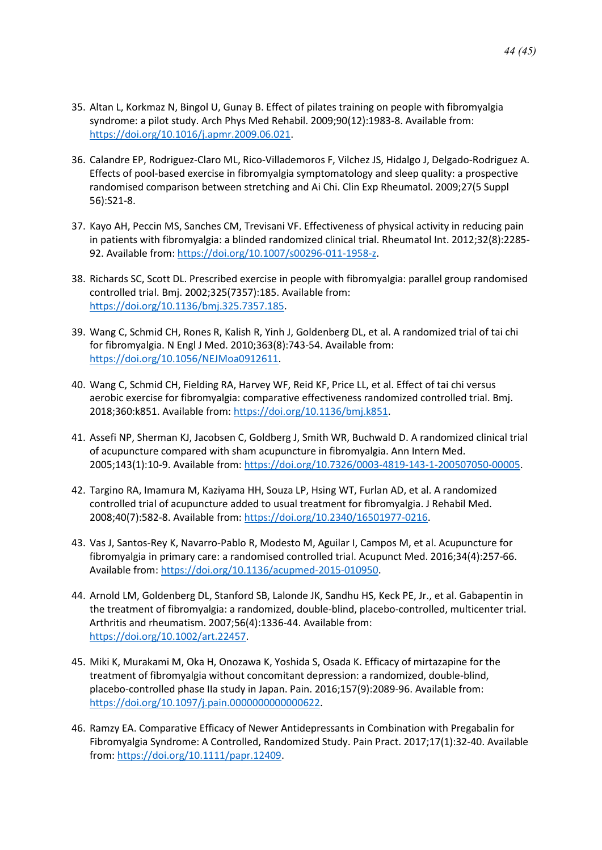- 35. Altan L, Korkmaz N, Bingol U, Gunay B. Effect of pilates training on people with fibromyalgia syndrome: a pilot study. Arch Phys Med Rehabil. 2009;90(12):1983-8. Available from: [https://doi.org/10.1016/j.apmr.2009.06.021.](https://doi.org/10.1016/j.apmr.2009.06.021)
- 36. Calandre EP, Rodriguez-Claro ML, Rico-Villademoros F, Vilchez JS, Hidalgo J, Delgado-Rodriguez A. Effects of pool-based exercise in fibromyalgia symptomatology and sleep quality: a prospective randomised comparison between stretching and Ai Chi. Clin Exp Rheumatol. 2009;27(5 Suppl 56):S21-8.
- 37. Kayo AH, Peccin MS, Sanches CM, Trevisani VF. Effectiveness of physical activity in reducing pain in patients with fibromyalgia: a blinded randomized clinical trial. Rheumatol Int. 2012;32(8):2285- 92. Available from[: https://doi.org/10.1007/s00296-011-1958-z.](https://doi.org/10.1007/s00296-011-1958-z)
- 38. Richards SC, Scott DL. Prescribed exercise in people with fibromyalgia: parallel group randomised controlled trial. Bmj. 2002;325(7357):185. Available from: [https://doi.org/10.1136/bmj.325.7357.185.](https://doi.org/10.1136/bmj.325.7357.185)
- 39. Wang C, Schmid CH, Rones R, Kalish R, Yinh J, Goldenberg DL, et al. A randomized trial of tai chi for fibromyalgia. N Engl J Med. 2010;363(8):743-54. Available from: [https://doi.org/10.1056/NEJMoa0912611.](https://doi.org/10.1056/NEJMoa0912611)
- 40. Wang C, Schmid CH, Fielding RA, Harvey WF, Reid KF, Price LL, et al. Effect of tai chi versus aerobic exercise for fibromyalgia: comparative effectiveness randomized controlled trial. Bmj. 2018;360:k851. Available from: [https://doi.org/10.1136/bmj.k851.](https://doi.org/10.1136/bmj.k851)
- 41. Assefi NP, Sherman KJ, Jacobsen C, Goldberg J, Smith WR, Buchwald D. A randomized clinical trial of acupuncture compared with sham acupuncture in fibromyalgia. Ann Intern Med. 2005;143(1):10-9. Available from[: https://doi.org/10.7326/0003-4819-143-1-200507050-00005.](https://doi.org/10.7326/0003-4819-143-1-200507050-00005)
- 42. Targino RA, Imamura M, Kaziyama HH, Souza LP, Hsing WT, Furlan AD, et al. A randomized controlled trial of acupuncture added to usual treatment for fibromyalgia. J Rehabil Med. 2008;40(7):582-8. Available from[: https://doi.org/10.2340/16501977-0216.](https://doi.org/10.2340/16501977-0216)
- 43. Vas J, Santos-Rey K, Navarro-Pablo R, Modesto M, Aguilar I, Campos M, et al. Acupuncture for fibromyalgia in primary care: a randomised controlled trial. Acupunct Med. 2016;34(4):257-66. Available from: [https://doi.org/10.1136/acupmed-2015-010950.](https://doi.org/10.1136/acupmed-2015-010950)
- 44. Arnold LM, Goldenberg DL, Stanford SB, Lalonde JK, Sandhu HS, Keck PE, Jr., et al. Gabapentin in the treatment of fibromyalgia: a randomized, double-blind, placebo-controlled, multicenter trial. Arthritis and rheumatism. 2007;56(4):1336-44. Available from: [https://doi.org/10.1002/art.22457.](https://doi.org/10.1002/art.22457)
- 45. Miki K, Murakami M, Oka H, Onozawa K, Yoshida S, Osada K. Efficacy of mirtazapine for the treatment of fibromyalgia without concomitant depression: a randomized, double-blind, placebo-controlled phase IIa study in Japan. Pain. 2016;157(9):2089-96. Available from: [https://doi.org/10.1097/j.pain.0000000000000622.](https://doi.org/10.1097/j.pain.0000000000000622)
- 46. Ramzy EA. Comparative Efficacy of Newer Antidepressants in Combination with Pregabalin for Fibromyalgia Syndrome: A Controlled, Randomized Study. Pain Pract. 2017;17(1):32-40. Available from: [https://doi.org/10.1111/papr.12409.](https://doi.org/10.1111/papr.12409)